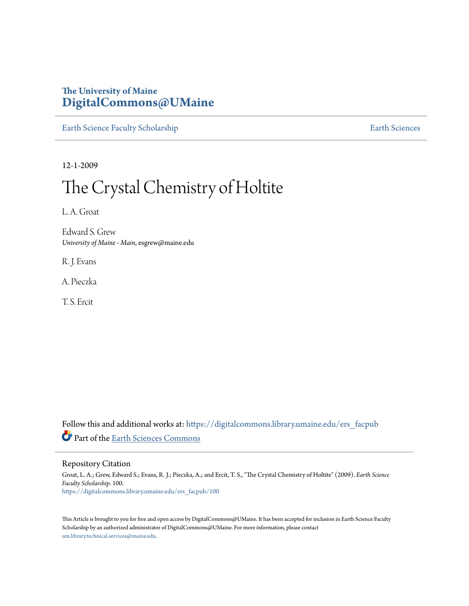# **The University of Maine [DigitalCommons@UMaine](https://digitalcommons.library.umaine.edu?utm_source=digitalcommons.library.umaine.edu%2Fers_facpub%2F100&utm_medium=PDF&utm_campaign=PDFCoverPages)**

[Earth Science Faculty Scholarship](https://digitalcommons.library.umaine.edu/ers_facpub?utm_source=digitalcommons.library.umaine.edu%2Fers_facpub%2F100&utm_medium=PDF&utm_campaign=PDFCoverPages) **[Earth Sciences](https://digitalcommons.library.umaine.edu/ers?utm_source=digitalcommons.library.umaine.edu%2Fers_facpub%2F100&utm_medium=PDF&utm_campaign=PDFCoverPages)** 

12-1-2009

# The Crystal Chemistry of Holtite

L. A. Groat

Edward S. Grew *University of Maine - Main*, esgrew@maine.edu

R. J. Evans

A. Pieczka

T. S. Ercit

Follow this and additional works at: [https://digitalcommons.library.umaine.edu/ers\\_facpub](https://digitalcommons.library.umaine.edu/ers_facpub?utm_source=digitalcommons.library.umaine.edu%2Fers_facpub%2F100&utm_medium=PDF&utm_campaign=PDFCoverPages) Part of the [Earth Sciences Commons](http://network.bepress.com/hgg/discipline/153?utm_source=digitalcommons.library.umaine.edu%2Fers_facpub%2F100&utm_medium=PDF&utm_campaign=PDFCoverPages)

Repository Citation

Groat, L. A.; Grew, Edward S.; Evans, R. J.; Pieczka, A.; and Ercit, T. S., "The Crystal Chemistry of Holtite" (2009). *Earth Science Faculty Scholarship*. 100. [https://digitalcommons.library.umaine.edu/ers\\_facpub/100](https://digitalcommons.library.umaine.edu/ers_facpub/100?utm_source=digitalcommons.library.umaine.edu%2Fers_facpub%2F100&utm_medium=PDF&utm_campaign=PDFCoverPages)

This Article is brought to you for free and open access by DigitalCommons@UMaine. It has been accepted for inclusion in Earth Science Faculty Scholarship by an authorized administrator of DigitalCommons@UMaine. For more information, please contact [um.library.technical.services@maine.edu](mailto:um.library.technical.services@maine.edu).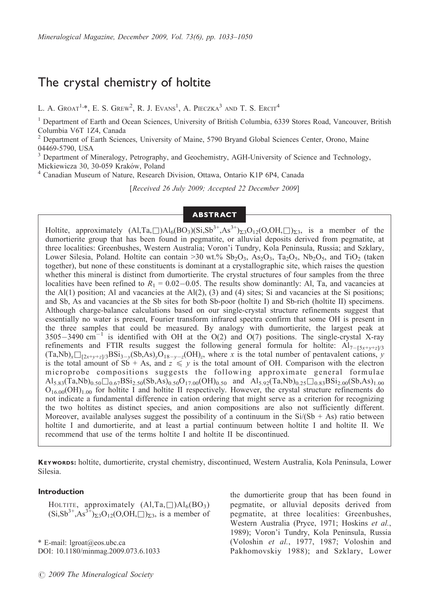# The crystal chemistry of holtite

L. A. Groat<sup>1,\*</sup>, E. S. Grew<sup>2</sup>, R. J. Evans<sup>1</sup>, A. Pieczka<sup>3</sup> and T. S. Ercit<sup>4</sup>

<sup>1</sup> Department of Earth and Ocean Sciences, University of British Columbia, 6339 Stores Road, Vancouver, British Columbia V6T 1Z4, Canada<br><sup>2</sup> Department of Earth Science

<sup>2</sup> Department of Earth Sciences, University of Maine, 5790 Bryand Global Sciences Center, Orono, Maine 04469-5790, USA

<sup>3</sup> Department of Mineralogy, Petrography, and Geochemistry, AGH-University of Science and Technology, Mickiewicza 30, 30-059 Kraków, Poland<br><sup>4</sup> Canadian Museum of Nature, Research Division, Ottawa, Ontario K1P 6P4, Canada

[Received 26 July 2009; Accepted 22 December 2009]

# ABSTRACT

Holtite, approximately  $(A1, Ta, \Box) A1_6(BO_3)(Si, Sb^{3+}, As^{3+})\Sigma_3O_{12}(O, OH, \Box)_{\Sigma3}$ , is a member of the dumortierite group that has been found in pegmatite, or alluvial deposits derived from pegmatite, at three localities: Greenbushes, Western Australia; Voron'i Tundry, Kola Peninsula, Russia; and Szklary, Lower Silesia, Poland. Holtite can contain >30 wt.%  $Sb_2O_3$ ,  $As_2O_3$ ,  $Ta_2O_5$ ,  $Nb_2O_5$ , and TiO<sub>2</sub> (taken together), but none of these constituents is dominant at a crystallographic site, which raises the question whether this mineral is distinct from dumortierite. The crystal structures of four samples from the three localities have been refined to  $R_1 = 0.02 - 0.05$ . The results show dominantly: Al, Ta, and vacancies at the Al(1) position; Al and vacancies at the Al(2), (3) and (4) sites; Si and vacancies at the Si positions; and Sb, As and vacancies at the Sb sites for both Sb-poor (holtite I) and Sb-rich (holtite II) specimens. Although charge-balance calculations based on our single-crystal structure refinements suggest that essentially no water is present, Fourier transform infrared spectra confirm that some OH is present in the three samples that could be measured. By analogy with dumortierite, the largest peak at  $3505-3490$  cm<sup>-1</sup> is identified with OH at the O(2) and O(7) positions. The single-crystal X-ray refinements and FTIR results suggest the following general formula for holtite:  $Al_{7-[5x+v+z]/3}$  $(Ta, Nb)_x \square_{[2x+y+z]/3} BSi_{3-y}(Sb, As)_yO_{18-y-z}(OH)_z$ , where x is the total number of pentavalent cations, y is the total amount of Sb + As, and  $z \leq y$  is the total amount of OH. Comparison with the electron microprobe compositions suggests the following approximate general formulae  $A1_{5.83}(Ta, Nb)_{0.50}\square_{0.67}BSi_{2.50}(Sb, As)_{0.50}O_{17.00}(OH)_{0.50}$  and  $A1_{5.92}(Ta, Nb)_{0.25}\square_{0.83}BSi_{2.00}(Sb, As)_{1.00}$  $O_{16,00}(OH)_{1,00}$  for holtite I and holtite II respectively. However, the crystal structure refinements do not indicate a fundamental difference in cation ordering that might serve as a criterion for recognizing the two holtites as distinct species, and anion compositions are also not sufficiently different. Moreover, available analyses suggest the possibility of a continuum in the  $Si/(Sb + As)$  ratio between holtite I and dumortierite, and at least a partial continuum between holtite I and holtite II. We recommend that use of the terms holtite I and holtite II be discontinued.

KEYWORDS: holtite, dumortierite, crystal chemistry, discontinued, Western Australia, Kola Peninsula, Lower Silesia.

## Introduction

HOLTITE, approximately  $(A1, Ta, \Box)Al_6(BO_3)$  $(Si, Sb^{3+}, As^{3+})_{\Sigma_3}O_{12}(O,OH, \Box)_{\Sigma_3}$ , is a member of

\* E-mail: lgroat@eos.ubc.ca DOI: 10.1180/minmag.2009.073.6.1033

the dumortierite group that has been found in pegmatite, or alluvial deposits derived from pegmatite, at three localities: Greenbushes, Western Australia (Pryce, 1971; Hoskins et al., 1989); Voron'i Tundry, Kola Peninsula, Russia (Voloshin et al., 1977, 1987; Voloshin and Pakhomovskiy 1988); and Szklary, Lower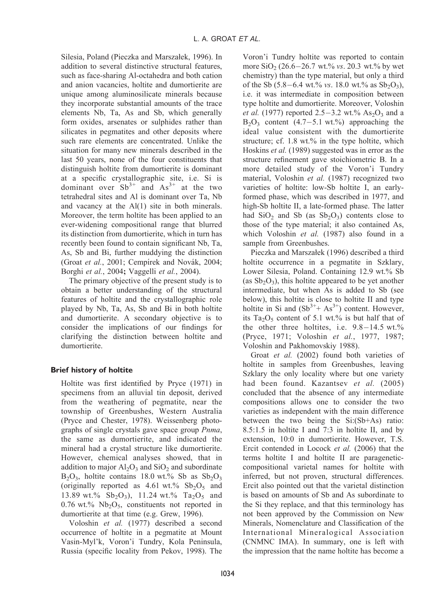Silesia, Poland (Pieczka and Marszałek, 1996). In addition to several distinctive structural features, such as face-sharing Al-octahedra and both cation and anion vacancies, holtite and dumortierite are unique among aluminosilicate minerals because they incorporate substantial amounts of the trace elements Nb, Ta, As and Sb, which generally form oxides, arsenates or sulphides rather than silicates in pegmatites and other deposits where such rare elements are concentrated. Unlike the situation for many new minerals described in the last 50 years, none of the four constituents that distinguish holtite from dumortierite is dominant at a specific crystallographic site, i.e. Si is dominant over  $\text{Sb}^{3+}$  and  $\text{As}^{3+}$  at the two tetrahedral sites and Al is dominant over Ta, Nb and vacancy at the Al(1) site in both minerals. Moreover, the term holtite has been applied to an ever-widening compositional range that blurred its distinction from dumortierite, which in turn has recently been found to contain significant Nb, Ta, As, Sb and Bi, further muddying the distinction (Groat et al., 2001; Cempirek and Novák, 2004; Borghi et al., 2004; Vaggelli et al., 2004).

The primary objective of the present study is to obtain a better understanding of the structural features of holtite and the crystallographic role played by Nb, Ta, As, Sb and Bi in both holtite and dumortierite. A secondary objective is to consider the implications of our findings for clarifying the distinction between holtite and dumortierite.

# Brief history of holtite

Holtite was first identified by Pryce (1971) in specimens from an alluvial tin deposit, derived from the weathering of pegmatite, near the township of Greenbushes, Western Australia (Pryce and Chester, 1978). Weissenberg photographs of single crystals gave space group Pnma, the same as dumortierite, and indicated the mineral had a crystal structure like dumortierite. However, chemical analyses showed, that in addition to major  $Al_2O_3$  and  $SiO_2$  and subordinate  $B_2O_3$ , holtite contains 18.0 wt.% Sb as  $Sb_2O_3$ (originally reported as  $4.61 \text{ wt.} \%$  Sb<sub>2</sub>O<sub>5</sub> and 13.89 wt.%  $Sb_2O_3$ , 11.24 wt.% Ta<sub>2</sub>O<sub>5</sub> and  $0.76$  wt.% Nb<sub>2</sub>O<sub>5</sub>, constituents not reported in dumortierite at that time (e.g. Grew, 1996).

Voloshin et al. (1977) described a second occurrence of holtite in a pegmatite at Mount Vasin-Myl'k, Voron'i Tundry, Kola Peninsula, Russia (specific locality from Pekov, 1998). The Voron'i Tundry holtite was reported to contain more  $SiO_2$  (26.6–26.7 wt.% vs. 20.3 wt.% by wet chemistry) than the type material, but only a third of the Sb  $(5.8-6.4 \text{ wt.}\% \text{ vs. } 18.0 \text{ wt.}\% \text{ as } Sb_2O_3)$ , i.e. it was intermediate in composition between type holtite and dumortierite. Moreover, Voloshin *et al.* (1977) reported  $2.5-3.2$  wt.%  $As_2O_3$  and a  $B_2O_3$  content (4.7–5.1 wt.%) approaching the ideal value consistent with the dumortierite structure; cf.  $1.8$  wt.% in the type holtite, which Hoskins et al. (1989) suggested was in error as the structure refinement gave stoichiometric B. In a more detailed study of the Voron'i Tundry material, Voloshin et al. (1987) recognized two varieties of holtite: low-Sb holtite I, an earlyformed phase, which was described in 1977, and high-Sb holtite II, a late-formed phase. The latter had  $SiO<sub>2</sub>$  and Sb (as  $Sb<sub>2</sub>O<sub>3</sub>$ ) contents close to those of the type material; it also contained As, which Voloshin et al. (1987) also found in a sample from Greenbushes.

Pieczka and Marszałek (1996) described a third holtite occurrence in a pegmatite in Szklary, Lower Silesia, Poland. Containing 12.9 wt.% Sb (as  $Sb_2O_3$ ), this holtite appeared to be yet another intermediate, but when As is added to Sb (see below), this holtite is close to holtite II and type holtite in Si and  $(Sb^{3+} + As^{3+})$  content. However, its Ta<sub>2</sub>O<sub>5</sub> content of 5.1 wt.% is but half that of the other three holtites, i.e.  $9.8-14.5$  wt.% (Pryce, 1971; Voloshin et al., 1977, 1987; Voloshinand Pakhomovskiy 1988).

Groat et al. (2002) found both varieties of holtite in samples from Greenbushes, leaving Szklary the only locality where but one variety had been found. Kazantsev et al. (2005) concluded that the absence of any intermediate compositions allows one to consider the two varieties as independent with the main difference between the two being the  $Si(Sb+As)$  ratio: 8.5:1.5 in holtite I and 7:3 in holtite II, and by extension, 10:0 in dumortierite. However, T.S. Ercit contended in Locock et al. (2006) that the terms holtite I and holtite II are parageneticcompositional varietal names for holtite with inferred, but not proven, structural differences. Ercit also pointed out that the varietal distinction is based on amounts of Sb and As subordinate to the Si they replace, and that this terminology has not been approved by the Commission on New Minerals, Nomenclature and Classification of the International Mineralogical Association (CNMNC IMA). In summary, one is left with the impression that the name holtite has become a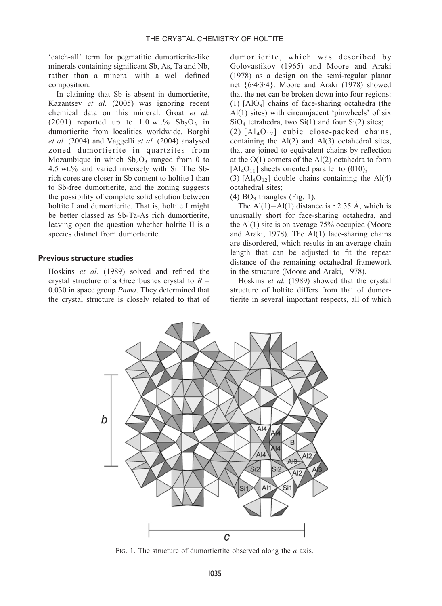'catch-all' term for pegmatitic dumortierite-like minerals containing significant Sb, As, Ta and Nb, rather than a mineral with a well defined composition.

In claiming that Sb is absent in dumortierite, Kazantsev et al. (2005) was ignoring recent chemical data on this mineral. Groat et al. (2001) reported up to 1.0 wt.%  $Sb_2O_3$  in dumortierite from localities worldwide. Borghi et al. (2004) and Vaggelli et al. (2004) analysed zoned dumortierite in quartzites from Mozambique in which  $Sb<sub>2</sub>O<sub>3</sub>$  ranged from 0 to 4.5 wt.% and varied inversely with Si. The Sbrich cores are closer in Sb content to holtite I than to Sb-free dumortierite, and the zoning suggests the possibility of complete solid solution between holtite I and dumortierite. That is, holtite I might be better classed as Sb-Ta-As rich dumortierite, leaving open the question whether holtite II is a species distinct from dumortierite.

#### Previous structure studies

Hoskins et al. (1989) solved and refined the crystal structure of a Greenbushes crystal to  $R =$ 0.030 in space group *Pnma*. They determined that the crystal structure is closely related to that of dumortierite, which was described by Golovastikov (1965) and Moore and Araki  $(1978)$  as a design on the semi-regular planar net {6·4·3·4}. Moore and Araki (1978) showed that the net can be broken down into four regions: (1)  $[AIO_3]$  chains of face-sharing octahedra (the Al(1) sites) with circumjacent 'pinwheels' of six  $SiO<sub>4</sub>$  tetrahedra, two  $Si(1)$  and four  $Si(2)$  sites;

(2)  $[AI_4O_{12}]$  cubic close-packed chains, containing the  $Al(2)$  and  $Al(3)$  octahedral sites, that are joined to equivalent chains by reflection at the  $O(1)$  corners of the  $Al(2)$  octahedra to form  $[AI_4O_{11}]$  sheets oriented parallel to (010);

(3)  $[A_4O_{12}]$  double chains containing the Al(4) octahedral sites;

 $(4)$  BO<sub>3</sub> triangles (Fig. 1).

The Al(1)–Al(1) distance is ~2.35 Å, which is unusually short for face-sharing octahedra, and the  $Al(1)$  site is on average 75% occupied (Moore and Araki, 1978). The Al(1) face-sharing chains are disordered, which results in an average chain length that can be adjusted to fit the repeat distance of the remaining octahedral framework in the structure (Moore and Araki, 1978).

Hoskins et al. (1989) showed that the crystal structure of holtite differs from that of dumortierite in several important respects, all of which



FIG. 1. The structure of dumortiertite observed along the  $a$  axis.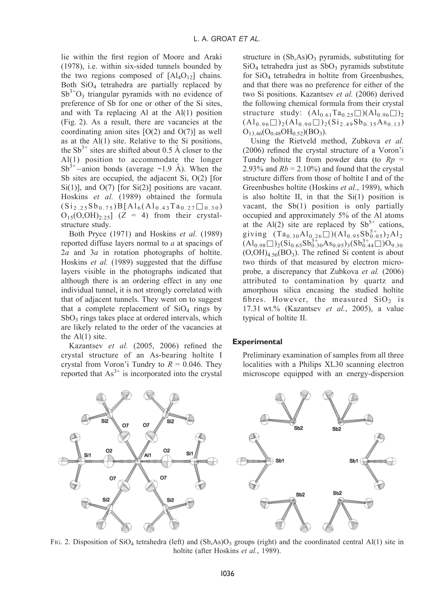lie within the first region of Moore and Araki (1978), i.e. within six-sided tunnels bounded by the two regions composed of  $[A]_4O_{12}$  chains. Both SiO4 tetrahedra are partially replaced by  $Sb^{3+}O_3$  triangular pyramids with no evidence of preference of Sb for one or other of the Si sites, and with Ta replacing Al at the Al(1) position (Fig. 2). As a result, there are vacancies at the coordinating anion sites  $[O(2)$  and  $O(7)]$  as well as at the Al(1) site. Relative to the Si positions, the  $Sb^{3+}$  sites are shifted about 0.5 Å closer to the  $Al(1)$  position to accommodate the longer  $Sb^{3+}$ -anion bonds (average ~1.9 Å). When the Sb sites are occupied, the adjacent Si, O(2) [for  $Si(1)$ ], and  $O(7)$  [for  $Si(2)$ ] positions are vacant. Hoskins et al. (1989) obtained the formula  $(Si_{2.25}Sb_{0.75})B[Al_6(Al_{0.43}Ta_{0.27}\Box_{0.30})$  $O_{15}(O,OH)_{2.25}$ ] (Z = 4) from their crystalstructure study.

Both Pryce (1971) and Hoskins et al. (1989) reported diffuse layers normal to a at spacings of  $2a$  and  $3a$  in rotation photographs of holtite. Hoskins et al. (1989) suggested that the diffuse layers visible in the photographs indicated that although there is an ordering effect in any one individual tunnel, it is not strongly correlated with that of adjacent tunnels. They went on to suggest that a complete replacement of  $SiO<sub>4</sub>$  rings by  $SbO<sub>3</sub>$  rings takes place at ordered intervals, which are likely related to the order of the vacancies at the  $Al(1)$  site.

Kazantsev et al. (2005, 2006) refined the crystal structure of an As-bearing holtite I crystal from Voron'i Tundry to  $R = 0.046$ . They reported that  $As<sup>3+</sup>$  is incorporated into the crystal structure in  $(Sb, As)O<sub>3</sub>$  pyramids, substituting for  $SiO<sub>4</sub>$  tetrahedra just as  $SbO<sub>3</sub>$  pyramids substitute for  $SiO<sub>4</sub>$  tetrahedra in holtite from Greenbushes, and that there was no preference for either of the two Si positions. Kazantsev et al. (2006) derived the following chemical formula from their crystal structure study:  $(Al_{0.61}Ta_{0.25}\square)(Al_{0.96}\square)_2$  $(\mathrm{Al}_{0.96}\Box)_2 (\mathrm{Al}_{0.90}\Box)_2 (\mathrm{Si}_{2.49}\mathrm{Sb}_{0.35}\mathrm{As}_{0.13})$  $O_{13.46}(O_{0.48}OH_{0.52})(BO_3).$ 

Using the Rietveld method, Zubkova et al. (2006) refined the crystal structure of a Voron'i Tundry holtite II from powder data (to  $Rp =$ 2.93% and  $Rb = 2.10\%$ ) and found that the crystal structure differs from those of holtite I and of the Greenbushes holtite (Hoskins et al., 1989), which is also holtite II, in that the  $Si(1)$  position is vacant, the Sb(1) position is only partially occupied and approximately 5% of the Al atoms at the Al(2) site are replaced by  $Sb^{5+}$  cations, giving  $(Ta_{0.30}Al_{0.26}\square)(Al_{0.95}Sb_{0.05}^{5+})_{2}Al_{2}$  $(Al_{0.98}\Box)_{2}(Si_{0.65}Sb_{0.30}^{3+}As_{0.05})_{3}(Sb_{0.44}^{3+})O_{9.30}$  $(O, OH)_{4.56}(BO_3)$ . The refined Si content is about two thirds of that measured by electron microprobe, a discrepancy that Zubkova et al. (2006) attributed to contamination by quartz and amorphous silica encasing the studied holtite fibres. However, the measured  $SiO<sub>2</sub>$  is 17.31 wt.% (Kazantsev et al., 2005), a value typical of holtite II.

#### **Experimental**

Preliminary examination of samples from all three localities with a Philips XL30 scanning electron microscope equipped with an energy-dispersion



FIG. 2. Disposition of SiO<sub>4</sub> tetrahedra (left) and (Sb,As)O<sub>3</sub> groups (right) and the coordinated central Al(1) site in holtite (after Hoskins et al., 1989).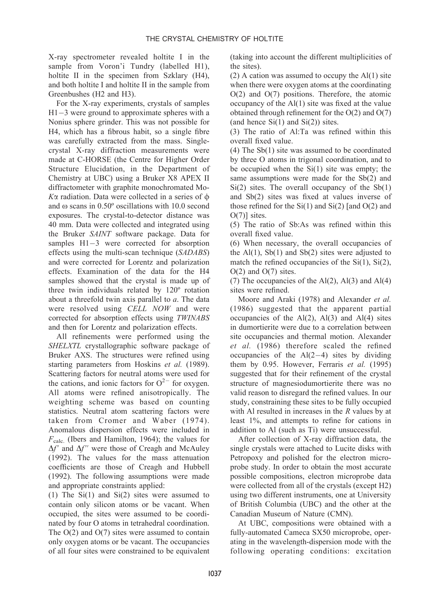X-ray spectrometer revealed holtite I in the sample from Voron'i Tundry (labelled H1), holtite II in the specimen from Szklary  $(H4)$ , and both holtite I and holtite II in the sample from Greenbushes (H2 and H3).

For the X-ray experiments, crystals of samples  $H1-3$  were ground to approximate spheres with a Nonius sphere grinder. This was not possible for H4, which has a fibrous habit, so a single fibre was carefully extracted from the mass. Singlecrystal X-ray diffraction measurements were made at C-HORSE (the Centre for Higher Order Structure Elucidation, in the Department of Chemistry at UBC) using a Bruker X8 APEX II diffractometer with graphite monochromated Mo- $K\alpha$  radiation. Data were collected in a series of  $\phi$ and o scans in 0.50º oscillations with 10.0 second exposures. The crystal-to-detector distance was 40 mm. Data were collected and integrated using the Bruker SAINT software package. Data for samples  $H1-3$  were corrected for absorption effects using the multi-scan technique (SADABS) and were corrected for Lorentz and polarization effects. Examination of the data for the H4 samples showed that the crystal is made up of three twin individuals related by 120° rotation about a threefold twin axis parallel to  $a$ . The data were resolved using CELL NOW and were corrected for absorption effects using TWINABS and then for Lorentz and polarization effects.

All refinements were performed using the SHELXTL crystallographic software package of Bruker AXS. The structures were refined using starting parameters from Hoskins et al. (1989). Scattering factors for neutral atoms were used for the cations, and ionic factors for  $O^{2-}$  for oxygen. All atoms were refined anisotropically. The weighting scheme was based on counting statistics. Neutral atom scattering factors were taken from Cromer and Waber (1974). Anomalous dispersion effects were included in  $F_{\text{calc.}}$  (Ibers and Hamilton, 1964); the values for  $\Delta f'$  and  $\Delta f''$  were those of Creagh and McAuley (1992). The values for the mass attenuation coefficients are those of Creagh and Hubbell (1992). The following assumptions were made and appropriate constraints applied:

(1) The Si(1) and Si(2) sites were assumed to contain only silicon atoms or be vacant. When occupied, the sites were assumed to be coordinated by four O atoms in tetrahedral coordination. The  $O(2)$  and  $O(7)$  sites were assumed to contain only oxygen atoms or be vacant. The occupancies of all four sites were constrained to be equivalent (taking into account the different multiplicities of the sites).

 $(2)$  A cation was assumed to occupy the Al $(1)$  site when there were oxygen atoms at the coordinating O(2) and O(7) positions. Therefore, the atomic occupancy of the Al(1) site was fixed at the value obtained through refinement for the O(2) and O(7) (and hence  $Si(1)$  and  $Si(2)$ ) sites.

(3) The ratio of Al:Ta was refined within this overall fixed value.

(4) The Sb(1) site was assumed to be coordinated by three O atoms in trigonal coordination, and to be occupied when the  $Si(1)$  site was empty; the same assumptions were made for the Sb(2) and  $Si(2)$  sites. The overall occupancy of the  $Sb(1)$ and Sb(2) sites was fixed at values inverse of those refined for the  $Si(1)$  and  $Si(2)$  [and  $O(2)$  and O(7)] sites.

(5) The ratio of Sb:As was refined within this overall fixed value.

(6) When necessary, the overall occupancies of the  $Al(1)$ ,  $Sb(1)$  and  $Sb(2)$  sites were adjusted to match the refined occupancies of the  $Si(1)$ ,  $Si(2)$ ,  $O(2)$  and  $O(7)$  sites.

(7) The occupancies of the  $Al(2)$ ,  $Al(3)$  and  $Al(4)$ sites were refined.

Moore and Araki (1978) and Alexander et al. (1986) suggested that the apparent partial occupancies of the  $Al(2)$ ,  $Al(3)$  and  $Al(4)$  sites in dumortierite were due to a correlation between site occupancies and thermal motion. Alexander et al. (1986) therefore scaled the refined occupancies of the  $Al(2-4)$  sites by dividing them by 0.95. However, Ferraris et al. (1995) suggested that for their refinement of the crystal structure of magnesiodumortierite there was no valid reason to disregard the refined values. In our study, constraining these sites to be fully occupied with Al resulted in increases in the  $R$  values by at least 1%, and attempts to refine for cations in addition to Al (such as Ti) were unsuccessful.

After collection of X-ray diffraction data, the single crystals were attached to Lucite disks with Petropoxy and polished for the electron microprobe study. In order to obtain the most accurate possible compositions, electron microprobe data were collected from all of the crystals (except H2) using two different instruments, one at University of British Columbia (UBC) and the other at the Canadian Museum of Nature (CMN).

At UBC, compositions were obtained with a fully-automated Cameca SX50 microprobe, operating in the wavelength-dispersion mode with the following operating conditions: excitation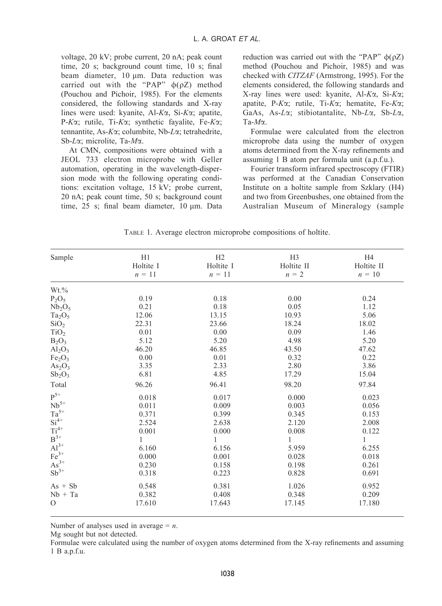voltage, 20 kV; probe current, 20 nA; peak count time, 20 s; background count time, 10 s; final beam diameter,  $10 \mu m$ . Data reduction was carried out with the "PAP"  $\phi(\rho Z)$  method (Pouchou and Pichoir, 1985). For the elements considered, the following standards and X-ray lines were used: kyanite, Al-Ka, Si-Ka; apatite, P- $K\alpha$ ; rutile, Ti- $K\alpha$ ; synthetic fayalite, Fe- $K\alpha$ ; tennantite, As-Ka; columbite, Nb-La; tetrahedrite, Sb-La; microlite, Ta-Ma.

At CMN, compositions were obtained with a JEOL 733 electron microprobe with Geller automation, operating in the wavelength-dispersion mode with the following operating conditions: excitation voltage, 15 kV; probe current, 20 nA; peak count time, 50 s; background count time,  $25$  s; final beam diameter,  $10 \mu m$ . Data reduction was carried out with the "PAP"  $\phi(\rho Z)$ method (Pouchou and Pichoir, 1985) and was checked with CITZAF (Armstrong, 1995). For the elements considered, the following standards and X-ray lines were used: kyanite, Al- $K\alpha$ , Si- $K\alpha$ ; apatite, P-K $\alpha$ ; rutile, Ti-K $\alpha$ ; hematite, Fe-K $\alpha$ ; GaAs, As- $L\alpha$ ; stibiotantalite, Nb- $L\alpha$ , Sb- $L\alpha$ ,  $Ta-M\alpha$ 

Formulae were calculated from the electron microprobe data using the number of oxygen atoms determined from the X-ray refinements and assuming 1 B atom per formula unit (a.p.f.u.).

Fourier transform infrared spectroscopy (FTIR) was performed at the Canadian Conservation Institute on a holtite sample from Szklary (H4) and two from Greenbushes, one obtained from the Australian Museum of Mineralogy (sample

TABLE 1. Average electron microprobe compositions of holtite.

| Sample                                                                | H1<br>Holtite I | H <sub>2</sub><br>Holtite I | H <sub>3</sub><br>Holtite II | H <sub>4</sub><br>Holtite II |
|-----------------------------------------------------------------------|-----------------|-----------------------------|------------------------------|------------------------------|
|                                                                       | $n = 11$        | $n = 11$                    | $n = 2$                      | $n = 10$                     |
| $Wt.\%$                                                               |                 |                             |                              |                              |
| $P_2O_5$                                                              | 0.19            | 0.18                        | 0.00                         | 0.24                         |
| Nb <sub>2</sub> O <sub>5</sub>                                        | 0.21            | 0.18                        | 0.05                         | 1.12                         |
| $Ta_2O_5$                                                             | 12.06           | 13.15                       | 10.93                        | 5.06                         |
| SiO <sub>2</sub>                                                      | 22.31           | 23.66                       | 18.24                        | 18.02                        |
| TiO <sub>2</sub>                                                      | 0.01            | 0.00                        | 0.09                         | 1.46                         |
| $B_2O_3$                                                              | 5.12            | 5.20                        | 4.98                         | 5.20                         |
| Al <sub>2</sub> O <sub>3</sub>                                        | 46.20           | 46.85                       | 43.50                        | 47.62                        |
| Fe <sub>2</sub> O <sub>3</sub>                                        | 0.00            | 0.01                        | 0.32                         | 0.22                         |
| As <sub>2</sub> O <sub>3</sub>                                        | 3.35            | 2.33                        | 2.80                         | 3.86                         |
| $Sb_2O_3$                                                             | 6.81            | 4.85                        | 17.29                        | 15.04                        |
| Total                                                                 | 96.26           | 96.41                       | 98.20                        | 97.84                        |
| $P^{5+}$                                                              | 0.018           | 0.017                       | 0.000                        | 0.023                        |
| $\mathrm{Nb}^{5+}$                                                    | 0.011           | 0.009                       | 0.003                        | 0.056                        |
|                                                                       | 0.371           | 0.399                       | 0.345                        | 0.153                        |
|                                                                       | 2.524           | 2.638                       | 2.120                        | 2.008                        |
| $T a^{5+}$<br>Si <sup>4+</sup><br>Ti <sup>4+</sup><br>B <sup>3+</sup> | 0.001           | 0.000                       | 0.008                        | 0.122                        |
|                                                                       | 1               | 1                           | $\mathbf{1}$                 | $\mathbf{1}$                 |
| $\text{Al}^{3+}$                                                      | 6.160           | 6.156                       | 5.959                        | 6.255                        |
| $Fe3+$                                                                | 0.000           | 0.001                       | 0.028                        | 0.018                        |
| $As^{3+}$                                                             | 0.230           | 0.158                       | 0.198                        | 0.261                        |
| $Sb^{3+}$                                                             | 0.318           | 0.223                       | 0.828                        | 0.691                        |
| $As + Sb$                                                             | 0.548           | 0.381                       | 1.026                        | 0.952                        |
| $Nb + Ta$                                                             | 0.382           | 0.408                       | 0.348                        | 0.209                        |
| O                                                                     | 17.610          | 17.643                      | 17.145                       | 17.180                       |

Number of analyses used in average  $= n$ .

Mg sought but not detected.

Formulae were calculated using the number of oxygen atoms determined from the X-ray refinements and assuming 1 B a.p.f.u.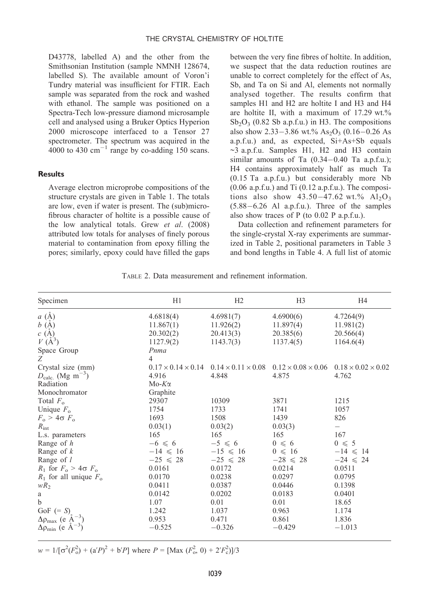D43778, labelled A) and the other from the Smithsonian Institution (sample NMNH 128674, labelled S). The available amount of Voron'i Tundry material was insufficient for FTIR. Each sample was separated from the rock and washed with ethanol. The sample was positioned on a Spectra-Tech low-pressure diamond microsample cell and analysed using a Bruker Optics Hyperion 2000 microscope interfaced to a Tensor 27 spectrometer. The spectrum was acquired in the  $4000$  to 430 cm<sup>-1</sup> range by co-adding 150 scans.

#### **Results**

Average electron microprobe compositions of the structure crystals are given in Table 1. The totals are low, evenif water is present. The (sub)microfibrous character of holtite is a possible cause of the low analytical totals. Grew et al. (2008) attributed low totals for analyses of finely porous material to contamination from epoxy filling the pores; similarly, epoxy could have filled the gaps between the very fine fibres of holtite. In addition, we suspect that the data reduction routines are unable to correct completely for the effect of As, Sb, and Ta on Si and Al, elements not normally analysed together. The results confirm that samples H1 and H2 are holtite I and H3 and H4 are holtite II, with a maximum of  $17.29 \text{ wt.}\%$  $Sb_2O_3$  (0.82 Sb a.p.f.u.) in H3. The compositions also show  $2.33-3.86$  wt.%  $As<sub>2</sub>O<sub>3</sub>$  (0.16-0.26 As a.p.f.u.) and, as expected, Si+As+Sb equals ~3 a.p.f.u. Samples H1, H2 and H3 contain similar amounts of Ta  $(0.34-0.40)$  Ta a.p.f.u.); H4 contains approximately half as much Ta (0.15 Ta a.p.f.u.) but considerably more Nb  $(0.06$  a.p.f.u.) and Ti $(0.12$  a.p.f.u.). The compositions also show  $43.50 - 47.62$  wt.%  $Al_2O_3$  $(5.88-6.26$  Al a.p.f.u.). Three of the samples also show traces of P (to 0.02 P a.p.f.u.).

Data collection and refinement parameters for the single-crystal X-ray experiments are summarized in Table 2, positional parameters in Table 3 and bond lengths in Table 4. A full list of atomic

TABLE 2. Data measurement and refinement information.

| Specimen                                 | H1             | H <sub>2</sub>                                                | H <sub>3</sub>     | H4                                                            |
|------------------------------------------|----------------|---------------------------------------------------------------|--------------------|---------------------------------------------------------------|
| $a\ (\AA)$                               | 4.6818(4)      | 4.6981(7)                                                     | 4.6900(6)          | 4.7264(9)                                                     |
| $b\;(\check{A})$                         | 11.867(1)      | 11.926(2)                                                     | 11.897(4)          | 11.981(2)                                                     |
| c(A)                                     | 20.302(2)      | 20.413(3)                                                     | 20.385(6)          | 20.566(4)                                                     |
| $V(\AA^3)$                               | 1127.9(2)      | 1143.7(3)                                                     | 1137.4(5)          | 1164.6(4)                                                     |
| Space Group                              | Pnma           |                                                               |                    |                                                               |
| Z                                        | $\overline{4}$ |                                                               |                    |                                                               |
| Crystal size (mm)                        |                | $0.17 \times 0.14 \times 0.14$ $0.14 \times 0.11 \times 0.08$ |                    | $0.12 \times 0.08 \times 0.06$ $0.18 \times 0.02 \times 0.02$ |
| $D_{\text{calc.}}$ (Mg m <sup>-3</sup> ) | 4.916          | 4.848                                                         | 4.875              | 4.762                                                         |
| Radiation                                | $Mo-Kα$        |                                                               |                    |                                                               |
| Monochromator                            | Graphite       |                                                               |                    |                                                               |
| Total $F_{\alpha}$                       | 29307          | 10309                                                         | 3871               | 1215                                                          |
| Unique $F_{0}$                           | 1754           | 1733                                                          | 1741               | 1057                                                          |
| $F_o > 4\sigma F_o$                      | 1693           | 1508                                                          | 1439               | 826                                                           |
| $R_{\text{int}}$                         | 0.03(1)        | 0.03(2)                                                       | 0.03(3)            | $\overline{\phantom{0}}$                                      |
| L.s. parameters                          | 165            | 165                                                           | 165                | 167                                                           |
| Range of $h$                             | $-6 \leq 6$    | $-5 \leq 6$                                                   | $0 \leq 6$         | $0 \leqslant 5$                                               |
| Range of $k$                             | $-14 \le 16$   | $-15 \le 16$                                                  | $0 \leqslant 16$   | $-14 \le 14$                                                  |
| Range of l                               | $-25 \le 28$   | $-25 \le 28$                                                  | $-28 \leqslant 28$ | $-24 \le 24$                                                  |
| $R_1$ for $F_0 > 4\sigma F_0$            | 0.0161         | 0.0172                                                        | 0.0214             | 0.0511                                                        |
| $R_1$ for all unique $F_0$               | 0.0170         | 0.0238                                                        | 0.0297             | 0.0795                                                        |
| $wR_2$                                   | 0.0411         | 0.0387                                                        | 0.0446             | 0.1398                                                        |
| a                                        | 0.0142         | 0.0202                                                        | 0.0183             | 0.0401                                                        |
| $\mathbf b$                              | 1.07           | 0.01                                                          | 0.01               | 18.65                                                         |
| GoF $(= S)$                              | 1.242          | 1.037                                                         | 0.963              | 1.174                                                         |
| $\Delta \rho_{\text{max}}$ (e A          | 0.953          | 0.471                                                         | 0.861              | 1.836                                                         |
| $\Delta \rho_{\rm min}$ (e A             | $-0.525$       | $-0.326$                                                      | $-0.429$           | $-1.013$                                                      |

 $w = 1/[\sigma^2(F_0^2) + (a'P)^2 + b'P]$  where  $P = [\text{Max } (F_0^2, 0) + 2'F_0^2]/3$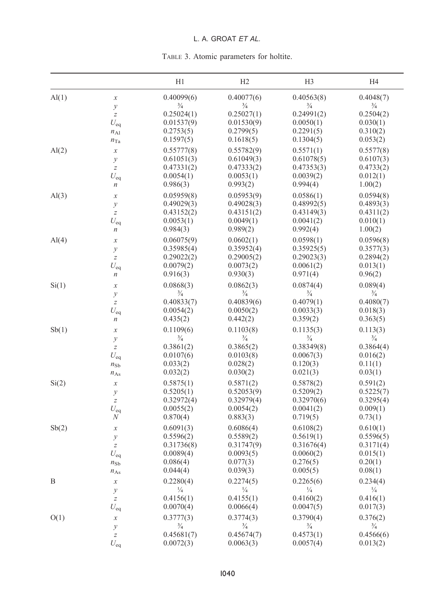# L. A. GROAT ET AL.

| TABLE 3. Atomic parameters for holtite. |  |  |  |
|-----------------------------------------|--|--|--|
|-----------------------------------------|--|--|--|

|                  |                                   | H1            | H2            | H <sub>3</sub> | H4            |
|------------------|-----------------------------------|---------------|---------------|----------------|---------------|
| $\mathrm{Al}(1)$ | $\boldsymbol{\chi}$               | 0.40099(6)    | 0.40077(6)    | 0.40563(8)     | 0.4048(7)     |
|                  | $\mathcal{Y}$                     | $\frac{3}{4}$ | $\frac{3}{4}$ | $\frac{3}{4}$  | $\frac{3}{4}$ |
|                  | $\overline{z}$                    | 0.25024(1)    | 0.25027(1)    | 0.24991(2)     | 0.2504(2)     |
|                  | $U_{\rm eq}$                      | 0.01537(9)    | 0.01530(9)    | 0.0050(1)      | 0.030(1)      |
|                  | $n_{A1}$                          | 0.2753(5)     | 0.2799(5)     | 0.2291(5)      | 0.310(2)      |
|                  | $n_{Ta}$                          | 0.1597(5)     | 0.1618(5)     | 0.1304(5)      | 0.053(2)      |
| $\mathrm{Al}(2)$ | $\chi$                            | 0.55777(8)    | 0.55782(9)    | 0.5571(1)      | 0.5577(8)     |
|                  | $\mathcal{Y}$                     | 0.61051(3)    | 0.61049(3)    | 0.61078(5)     | 0.6107(3)     |
|                  | $\overline{z}$                    | 0.47331(2)    | 0.47333(2)    | 0.47353(3)     | 0.4733(2)     |
|                  | $U_{eq}$                          | 0.0054(1)     | 0.0053(1)     | 0.0039(2)      | 0.012(1)      |
|                  | n                                 | 0.986(3)      | 0.993(2)      | 0.994(4)       | 1.00(2)       |
| $\mathrm{Al}(3)$ | $\boldsymbol{\chi}$               | 0.05959(8)    | 0.05953(9)    | 0.0586(1)      | 0.0594(8)     |
|                  | $\mathcal{Y}$                     | 0.49029(3)    | 0.49028(3)    | 0.48992(5)     | 0.4893(3)     |
|                  | $\boldsymbol{Z}$                  | 0.43152(2)    | 0.43151(2)    | 0.43149(3)     | 0.4311(2)     |
|                  | $U_{\text{eq}}$                   | 0.0053(1)     | 0.0049(1)     | 0.0041(2)      | 0.010(1)      |
|                  | $\boldsymbol{n}$                  | 0.984(3)      | 0.989(2)      | 0.992(4)       | 1.00(2)       |
| $\mathrm{Al}(4)$ |                                   | 0.06075(9)    | 0.0602(1)     | 0.0598(1)      | 0.0596(8)     |
|                  | $\boldsymbol{\chi}$               | 0.35985(4)    | 0.35952(4)    | 0.35925(5)     | 0.3577(3)     |
|                  | $\mathcal{Y}$<br>$\boldsymbol{Z}$ | 0.29022(2)    | 0.29005(2)    | 0.29023(3)     | 0.2894(2)     |
|                  |                                   | 0.0079(2)     | 0.0073(2)     | 0.0061(2)      | 0.013(1)      |
|                  | $U_{eq}$<br>$\boldsymbol{n}$      | 0.916(3)      | 0.930(3)      | 0.971(4)       | 0.96(2)       |
|                  |                                   |               |               |                |               |
| Si(1)            | $\boldsymbol{\chi}$               | 0.0868(3)     | 0.0862(3)     | 0.0874(4)      | 0.089(4)      |
|                  | $\mathcal{Y}$                     | $\frac{3}{4}$ | $\frac{3}{4}$ | $\frac{3}{4}$  | $\frac{3}{4}$ |
|                  | $\boldsymbol{Z}$                  | 0.40833(7)    | 0.40839(6)    | 0.4079(1)      | 0.4080(7)     |
|                  | $U_{eq}$                          | 0.0054(2)     | 0.0050(2)     | 0.0033(3)      | 0.018(3)      |
|                  | n                                 | 0.435(2)      | 0.442(2)      | 0.359(2)       | 0.363(5)      |
| Sb(1)            | $\boldsymbol{\chi}$               | 0.1109(6)     | 0.1103(8)     | 0.1135(3)      | 0.113(3)      |
|                  | $\mathcal{Y}$                     | $\frac{3}{4}$ | $\frac{3}{4}$ | $\frac{3}{4}$  | $\frac{3}{4}$ |
|                  | $\boldsymbol{Z}$                  | 0.3861(2)     | 0.3865(2)     | 0.38349(8)     | 0.3864(4)     |
|                  | $U_{eq}$                          | 0.0107(6)     | 0.0103(8)     | 0.0067(3)      | 0.016(2)      |
|                  | $n_{\text{Sb}}$                   | 0.033(2)      | 0.028(2)      | 0.120(3)       | 0.11(1)       |
|                  | $n_{\rm As}$                      | 0.032(2)      | 0.030(2)      | 0.021(3)       | 0.03(1)       |
| Si(2)            | $\boldsymbol{\chi}$               | 0.5875(1)     | 0.5871(2)     | 0.5878(2)      | 0.591(2)      |
|                  | $\mathcal{Y}$                     | 0.5205(1)     | 0.52053(9)    | 0.5209(2)      | 0.5225(7)     |
|                  | $\overline{z}$                    | 0.32972(4)    | 0.32979(4)    | 0.32970(6)     | 0.3295(4)     |
|                  | $U_{eq}$                          | 0.0055(2)     | 0.0054(2)     | 0.0041(2)      | 0.009(1)      |
|                  | N                                 | 0.870(4)      | 0.883(3)      | 0.719(5)       | 0.73(1)       |
| Sb(2)            | $\boldsymbol{\chi}$               | 0.6091(3)     | 0.6086(4)     | 0.6108(2)      | 0.610(1)      |
|                  | $\mathcal{Y}$                     | 0.5596(2)     | 0.5589(2)     | 0.5619(1)      | 0.5596(5)     |
|                  | $\overline{z}$                    | 0.31736(8)    | 0.31747(9)    | 0.31676(4)     | 0.3171(4)     |
|                  | $U_{eq}$                          | 0.0089(4)     | 0.0093(5)     | 0.0060(2)      | 0.015(1)      |
|                  | $n_{\text{Sb}}$                   | 0.086(4)      | 0.077(3)      | 0.276(5)       | 0.20(1)       |
|                  | $n_{\rm As}$                      | 0.044(4)      | 0.039(3)      | 0.005(5)       | 0.08(1)       |
| B                | х                                 | 0.2280(4)     | 0.2274(5)     | 0.2265(6)      | 0.234(4)      |
|                  | $\mathcal{Y}$                     | $\frac{1}{4}$ | $\frac{1}{4}$ | $\frac{1}{4}$  | $\frac{1}{4}$ |
|                  | $\boldsymbol{Z}$                  | 0.4156(1)     | 0.4155(1)     | 0.4160(2)      | 0.416(1)      |
|                  | $U_{eq}$                          | 0.0070(4)     | 0.0066(4)     | 0.0047(5)      | 0.017(3)      |
| O(1)             | $\boldsymbol{\chi}$               | 0.3777(3)     | 0.3774(3)     | 0.3790(4)      | 0.376(2)      |
|                  | $\mathcal{Y}$                     | $\frac{3}{4}$ | $\frac{3}{4}$ | $\frac{3}{4}$  | $\frac{3}{4}$ |
|                  | $\boldsymbol{Z}$                  | 0.45681(7)    | 0.45674(7)    | 0.4573(1)      | 0.4566(6)     |
|                  | $U_{eq}$                          | 0.0072(3)     | 0.0063(3)     | 0.0057(4)      | 0.013(2)      |
|                  |                                   |               |               |                |               |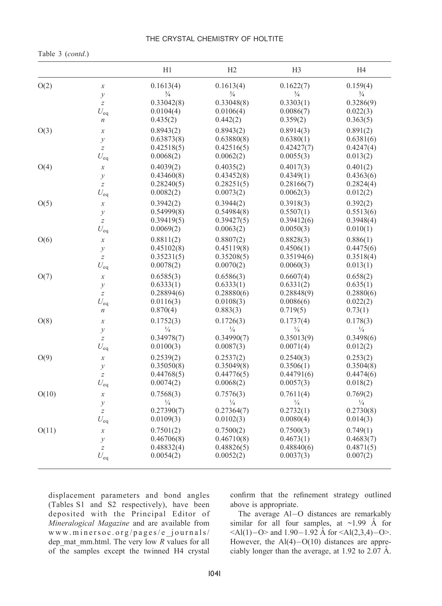Table 3 (contd.)

|       |                            | H1                          | H <sub>2</sub>          | H <sub>3</sub>          | H <sub>4</sub> |
|-------|----------------------------|-----------------------------|-------------------------|-------------------------|----------------|
| O(2)  | $\boldsymbol{\chi}$        | 0.1613(4)                   | 0.1613(4)               | 0.1622(7)               | 0.159(4)       |
|       | $\mathcal{Y}$              | $\frac{3}{4}$               | $\frac{3}{4}$           | $\frac{3}{4}$           | $\frac{3}{4}$  |
|       | $\bar{z}$                  | 0.33042(8)                  | 0.33048(8)              | 0.3303(1)               | 0.3286(9)      |
|       | $U_{\rm eq}$               | 0.0104(4)                   | 0.0106(4)               | 0.0086(7)               | 0.022(3)       |
|       | $\boldsymbol{n}$           | 0.435(2)                    | 0.442(2)                | 0.359(2)                | 0.363(5)       |
| O(3)  | $\boldsymbol{\chi}$        | 0.8943(2)                   | 0.8943(2)               | 0.8914(3)               | 0.891(2)       |
|       | $\mathcal{Y}$              | 0.63873(8)                  | 0.63880(8)              | 0.6380(1)               | 0.6381(6)      |
|       | $\boldsymbol{Z}$           | 0.42518(5)                  | 0.42516(5)              | 0.42427(7)              | 0.4247(4)      |
|       | $U_{eq}$                   | 0.0068(2)                   | 0.0062(2)               | 0.0055(3)               | 0.013(2)       |
| O(4)  | $\boldsymbol{\chi}$        | 0.4039(2)                   | 0.4035(2)               | 0.4017(3)               | 0.401(2)       |
|       |                            | 0.43460(8)                  | 0.43452(8)              | 0.4349(1)               | 0.4363(6)      |
|       | $\mathcal{Y}$<br>$\bar{z}$ | 0.28240(5)                  | 0.28251(5)              | 0.28166(7)              | 0.2824(4)      |
|       |                            | 0.0082(2)                   | 0.0073(2)               | 0.0062(3)               | 0.012(2)       |
|       | $U_{\rm eq}$               |                             |                         |                         |                |
| O(5)  | $\boldsymbol{\chi}$        | 0.3942(2)                   | 0.3944(2)               | 0.3918(3)               | 0.392(2)       |
|       | $\mathcal{Y}$              | 0.54999(8)                  | 0.54984(8)              | 0.5507(1)               | 0.5513(6)      |
|       | $\bar{z}$                  | 0.39419(5)                  | 0.39427(5)              | 0.39412(6)              | 0.3948(4)      |
|       | $U_{\rm eq}$               | 0.0069(2)                   | 0.0063(2)               | 0.0050(3)               | 0.010(1)       |
| O(6)  | $\mathcal{X}$              | 0.8811(2)                   | 0.8807(2)               | 0.8828(3)               | 0.886(1)       |
|       | $\mathcal{Y}$              | 0.45102(8)                  | 0.45119(8)              | 0.4506(1)               | 0.4475(6)      |
|       | $\bar{z}$                  | 0.35231(5)                  | 0.35208(5)              | 0.35194(6)              | 0.3518(4)      |
|       | $U_{eq}$                   | 0.0078(2)                   | 0.0070(2)               | 0.0060(3)               | 0.013(1)       |
| O(7)  | $\boldsymbol{\chi}$        | 0.6585(3)                   | 0.6586(3)               | 0.6607(4)               | 0.658(2)       |
|       | $\mathcal{Y}$              | 0.6333(1)                   | 0.6333(1)               | 0.6331(2)               | 0.635(1)       |
|       | $\overline{z}$             | 0.28894(6)                  | 0.28880(6)              | 0.28848(9)              | 0.2880(6)      |
|       | $U_{\rm eq}$               | 0.0116(3)                   | 0.0108(3)               | 0.0086(6)               | 0.022(2)       |
|       | $\boldsymbol{n}$           | 0.870(4)                    | 0.883(3)                | 0.719(5)                | 0.73(1)        |
|       |                            |                             |                         |                         |                |
| O(8)  | $\boldsymbol{\chi}$        | 0.1752(3)                   | 0.1726(3)               | 0.1737(4)               | 0.178(3)       |
|       | $\mathcal{Y}$              | $\frac{1}{4}$<br>0.34978(7) | $\frac{1}{4}$           | $\frac{1}{4}$           | $\frac{1}{4}$  |
|       | $\bar{z}$                  |                             | 0.34990(7)              | 0.35013(9)              | 0.3498(6)      |
|       | $U_{eq}$                   | 0.0100(3)                   | 0.0087(3)               | 0.0071(4)               | 0.012(2)       |
| O(9)  | $\boldsymbol{\chi}$        | 0.2539(2)                   | 0.2537(2)               | 0.2540(3)               | 0.253(2)       |
|       | $\mathcal{Y}$              | 0.35050(8)                  | 0.35049(8)              | 0.3506(1)               | 0.3504(8)      |
|       | $\overline{z}$             | 0.44768(5)                  | 0.44776(5)              | 0.44791(6)              | 0.4474(6)      |
|       | $U_{\rm eq}$               | 0.0074(2)                   | 0.0068(2)               | 0.0057(3)               | 0.018(2)       |
| O(10) | $\boldsymbol{\chi}$        | 0.7568(3)                   | 0.7576(3)               | 0.7611(4)               | 0.769(2)       |
|       | $\mathcal{Y}$              | $\frac{1}{4}$               | $\frac{1}{4}$           | $\frac{1}{4}$           | $\frac{1}{4}$  |
|       | $\bar{z}$                  | 0.27390(7)                  | 0.27364(7)              | 0.2732(1)               | 0.2730(8)      |
|       | $U_{eq}$                   | 0.0109(3)                   | 0.0102(3)               | 0.0080(4)               | 0.014(3)       |
| O(11) | $\boldsymbol{\chi}$        | 0.7501(2)                   | 0.7500(2)               | 0.7500(3)               | 0.749(1)       |
|       |                            | 0.46706(8)                  | 0.46710(8)              | 0.4673(1)               | 0.4683(7)      |
|       | $\mathcal{Y}$<br>$\bar{z}$ |                             |                         |                         | 0.4871(5)      |
|       |                            | 0.48832(4)<br>0.0054(2)     | 0.48826(5)<br>0.0052(2) | 0.48840(6)<br>0.0037(3) | 0.007(2)       |
|       | $U_{eq}$                   |                             |                         |                         |                |

displacement parameters and bond angles (Tables S1 and S2 respectively), have been deposited with the Principal Editor of Mineralogical Magazine and are available from www.minersoc.org/pages/e\_journals/ dep\_mat\_mm.html. The very low  $R$  values for all of the samples except the twinned H4 crystal

confirm that the refinement strategy outlined above is appropriate.

The average Al-O distances are remarkably similar for all four samples, at  $\sim$ 1.99 Å for  $\leq$ Al(1)-O> and 1.90-1.92 A for  $\leq$ Al(2,3,4)-O>. However, the  $Al(4)-O(10)$  distances are appreciably longer than the average, at  $1.92$  to  $2.07 \text{ Å}$ .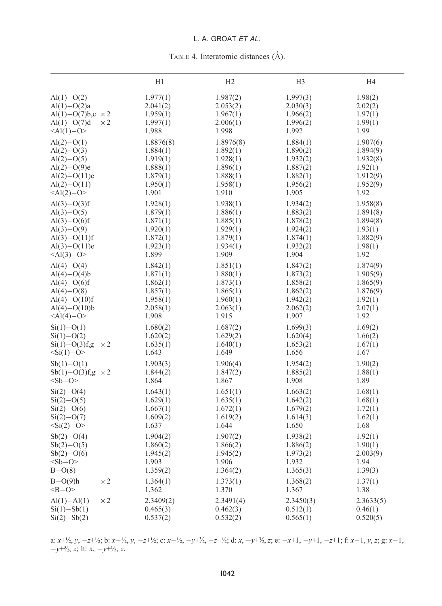# L. A. GROAT ET AL.

|                               |            | H <sub>1</sub> | H <sub>2</sub> | H <sub>3</sub> | H <sub>4</sub> |
|-------------------------------|------------|----------------|----------------|----------------|----------------|
| $Al(1)-O(2)$                  | $\times 2$ | 1.977(1)       | 1.987(2)       | 1.997(3)       | 1.98(2)        |
| $Al(1)-O(2)a$                 |            | 2.041(2)       | 2.053(2)       | 2.030(3)       | 2.02(2)        |
| Al(1)-O(7)b,c $\times$ 2      |            | 1.959(1)       | 1.967(1)       | 1.966(2)       | 1.97(1)        |
| $Al(1)-O(7)d$                 |            | 1.997(1)       | 2.006(1)       | 1.996(2)       | 1.99(1)        |
| $<$ Al(1)-O>                  |            | 1.988          | 1.998          | 1.992          | 1.99           |
| $Al(2)-O(1)$                  |            | 1.8876(8)      | 1.8976(8)      | 1.884(1)       | 1.907(6)       |
| $Al(2)-O(3)$                  |            | 1.884(1)       | 1.892(1)       | 1.890(2)       | 1.894(9)       |
| $Al(2)-O(5)$                  |            | 1.919(1)       | 1.928(1)       | 1.932(2)       | 1.932(8)       |
| $Al(2)-O(9)e$                 |            | 1.888(1)       | 1.896(1)       | 1.887(2)       | 1.92(1)        |
| $Al(2)-O(11)e$                |            | 1.879(1)       | 1.888(1)       | 1.882(1)       | 1.912(9)       |
| $Al(2)-O(11)$                 |            | 1.950(1)       | 1.958(1)       | 1.956(2)       | 1.952(9)       |
| $<$ Al(2)-O>                  |            | 1.901          | 1.910          | 1.905          | 1.92           |
| $Al(3)-O(3)$ f                |            | 1.928(1)       | 1.938(1)       | 1.934(2)       | 1.958(8)       |
| $Al(3)-O(5)$                  |            | 1.879(1)       | 1.886(1)       | 1.883(2)       | 1.891(8)       |
| $Al(3)-O(6)f$                 |            | 1.871(1)       | 1.885(1)       | 1.878(2)       | 1.894(8)       |
| $Al(3)-O(9)$                  |            | 1.920(1)       | 1.929(1)       | 1.924(2)       | 1.93(1)        |
| $Al(3)-O(11)f$                |            | 1.872(1)       | 1.879(1)       | 1.874(1)       | 1.882(9)       |
| $Al(3)-O(11)e$                |            | 1.923(1)       | 1.934(1)       | 1.932(2)       | 1.98(1)        |
| $\leq$ Al(3)-O>               |            | 1.899          | 1.909          | 1.904          | 1.92           |
| $Al(4)-O(4)$                  |            | 1.842(1)       | 1.851(1)       | 1.847(2)       | 1.874(9)       |
| $Al(4)-O(4)b$                 |            | 1.871(1)       | 1.880(1)       | 1.873(2)       | 1.905(9)       |
| $Al(4)-O(6)f$                 |            | 1.862(1)       | 1.873(1)       | 1.858(2)       | 1.865(9)       |
| $Al(4)-O(8)$                  |            | 1.857(1)       | 1.865(1)       | 1.862(2)       | 1.876(9)       |
| $Al(4)-O(10)f$                |            | 1.958(1)       | 1.960(1)       | 1.942(2)       | 1.92(1)        |
| Al(4) – O(10)b                |            | 2.058(1)       | 2.063(1)       | 2.062(2)       | 2.07(1)        |
| $<$ Al(4)-O>                  |            | 1.908          | 1.915          | 1.907          | 1.92           |
| $Si(1) - O(1)$                | $\times 2$ | 1.680(2)       | 1.687(2)       | 1.699(3)       | 1.69(2)        |
| $Si(1) - O(2)$                |            | 1.620(2)       | 1.629(2)       | 1.620(4)       | 1.66(2)        |
| $Si(1) - O(3)$ f,g            |            | 1.635(1)       | 1.640(1)       | 1.653(2)       | 1.67(1)        |
| $\langle$ Si(1)-O>            |            | 1.643          | 1.649          | 1.656          | 1.67           |
| $Sb(1)-O(1)$                  |            | 1.903(3)       | 1.906(4)       | 1.954(2)       | 1.90(2)        |
| $Sb(1) - O(3)$ f,g $\times 2$ |            | 1.844(2)       | 1.847(2)       | 1.885(2)       | 1.88(1)        |
| $<$ Sb-O>                     |            | 1.864          | 1.867          | 1.908          | 1.89           |
| $Si(2)-O(4)$                  |            | 1.643(1)       | 1.651(1)       | 1.663(2)       | 1.68(1)        |
| $Si(2)-O(5)$                  |            | 1.629(1)       | 1.635(1)       | 1.642(2)       | 1.68(1)        |
| $Si(2)-O(6)$                  |            | 1.667(1)       | 1.672(1)       | 1.679(2)       | 1.72(1)        |
| $Si(2)-O(7)$                  |            | 1.609(2)       | 1.619(2)       | 1.614(3)       | 1.62(1)        |
| $<$ Si(2)-O>                  |            | 1.637          | 1.644          | 1.650          | 1.68           |
| $Sb(2)-O(4)$                  |            | 1.904(2)       | 1.907(2)       | 1.938(2)       | 1.92(1)        |
| $Sb(2)-O(5)$                  |            | 1.860(2)       | 1.866(2)       | 1.886(2)       | 1.90(1)        |
| $Sb(2)-O(6)$                  |            | 1.945(2)       | 1.945(2)       | 1.973(2)       | 2.003(9)       |
| $<$ Sb-O>                     |            | 1.903          | 1.906          | 1.932          | 1.94           |
| $B-O(8)$                      |            | 1.359(2)       | 1.364(2)       | 1.365(3)       | 1.39(3)        |
| $B-O(9)h$                     | $\times 2$ | 1.364(1)       | 1.373(1)       | 1.368(2)       | 1.37(1)        |
| $< B - O$                     |            | 1.362          | 1.370          | 1.367          | 1.38           |
| Al(1) – Al(1)                 | $\times 2$ | 2.3409(2)      | 2.3491(4)      | 2.3450(3)      | 2.3633(5)      |
| $Si(1) - Sb(1)$               |            | 0.465(3)       | 0.462(3)       | 0.512(1)       | 0.46(1)        |
| $Si(2) - Sb(2)$               |            | 0.537(2)       | 0.532(2)       | 0.565(1)       | 0.520(5)       |

a:  $x+y_2$ ,  $y, -z+y_2$ ; b:  $x-y_2$ ,  $y, -z+y_2$ ; c:  $x-y_2$ ,  $-y+3/2$ ,  $-z+y_2$ ; d:  $x, -y+3/2$ , z; e:  $-x+1, -y+1, -z+1$ ; f:  $x-1, y, z$ ; g:  $x-1$ ,  $-y+3/2$ , z; h:  $x, -y+1/2, z$ .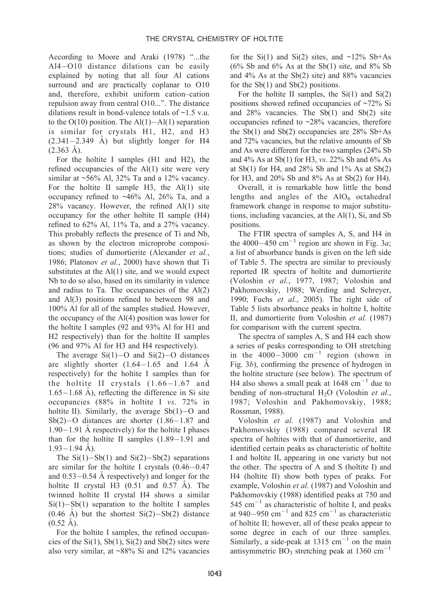According to Moore and Araki (1978) ''...the  $A14-O10$  distance dilations can be easily explained by noting that all four Al cations surround and are practically coplanar to O10 and, therefore, exhibit uniform cation–cation repulsion away from central O10...". The distance dilations result in bond-valence totals of  $\sim$ 1.5 v.u. to the  $O(10)$  position. The  $Al(1) – Al(1)$  separation is similar for crystals H1, H2, and H3  $(2.341-2.349 \text{ Å})$  but slightly longer for H4  $(2.363 \text{ Å})$ .

For the holtite I samples (H1 and H2), the refined occupancies of the Al(1) site were very similar at  $\sim$ 56% Al, 32% Ta and a 12% vacancy. For the holtite II sample H3, the Al(1) site occupancy refined to  $~16\%$  Al,  $26\%$  Ta, and a 28% vacancy. However, the refined Al(1) site occupancy for the other holtite II sample (H4) refined to 62% Al, 11% Ta, and a 27% vacancy. This probably reflects the presence of Ti and Nb, as shown by the electron microprobe compositions; studies of dumortierite (Alexander et al., 1986; Platonov et al., 2000) have shown that Ti substitutes at the Al(1) site, and we would expect Nb to do so also, based on its similarity in valence and radius to Ta. The occupancies of the Al(2) and Al(3) positions refined to between 98 and 100% Al for all of the samples studied. However, the occupancy of the Al(4) position was lower for the holtite I samples (92 and 93% Al for H1 and H2 respectively) than for the holtite II samples (96 and 97% Al for H3 and H4 respectively).

The average  $Si(1)-O$  and  $Si(2)-O$  distances are slightly shorter  $(1.64-1.65$  and 1.64 A respectively) for the holtite I samples than for the holtite II crystals  $(1.66-1.67$  and  $1.65-1.68$  Å), reflecting the difference in Si site occupancies (88% in holtite I vs. 72% in holtite II). Similarly, the average  $Sb(1)-O$  and  $Sb(2)-O$  distances are shorter  $(1.86-1.87$  and  $1.90-1.91$  A respectively) for the holtite I phases than for the holtite II samples  $(1.89-1.91$  and  $1.93 - 1.94$  Å).

The  $Si(1) - Sb(1)$  and  $Si(2) - Sb(2)$  separations are similar for the holtite I crystals  $(0.46-0.47)$ and  $0.53-0.54$  Å respectively) and longer for the holtite II crystal H3  $(0.51$  and  $0.57$  Å). The twinned holtite II crystal H4 shows a similar  $Si(1) - Sb(1)$  separation to the holtite I samples  $(0.46 \text{ A})$  but the shortest  $Si(2) - Sb(2)$  distance  $(0.52 \text{ Å})$ .

For the holtite I samples, the refined occupancies of the  $Si(1)$ ,  $Sb(1)$ ,  $Si(2)$  and  $Sb(2)$  sites were also very similar, at ~88% Si and 12% vacancies

for the Si(1) and Si(2) sites, and  $\sim$ 12% Sb+As  $(6\%$  Sb and  $6\%$  As at the Sb(1) site, and  $8\%$  Sb and 4% As at the Sb(2) site) and 88% vacancies for the  $Sb(1)$  and  $Sb(2)$  positions.

For the holtite II samples, the  $Si(1)$  and  $Si(2)$ positions showed refined occupancies of ~72% Si and  $28\%$  vacancies. The Sb(1) and Sb(2) site occupancies refined to ~28% vacancies, therefore the Sb(1) and Sb(2) occupancies are  $28\%$  Sb+As and 72% vacancies, but the relative amounts of Sb and As were different for the two samples (24% Sb and 4% As at Sb(1) for H3, vs. 22% Sb and 6% As at  $Sb(1)$  for H4, and  $28\%$  Sb and  $1\%$  As at  $Sb(2)$ for H3, and 20% Sb and 8% As at Sb(2) for H4).

Overall, it is remarkable how little the bond lengths and angles of the  $AIO<sub>6</sub>$  octahedral framework change in response to major substitutions, including vacancies, at the Al(1), Si, and Sb positions.

The FTIR spectra of samples A, S, and H4 in the 4000–450 cm<sup>-1</sup> region are shown in Fig. 3*a*; a list of absorbance bands is given on the left side of Table 5. The spectra are similar to previously reported IR spectra of holtite and dumortierite (Voloshin et al., 1977, 1987; Voloshin and Pakhomovskiy, 1988; Werding and Schreyer, 1990; Fuchs et al., 2005). The right side of Table 5 lists absorbance peaks in holtite I, holtite II, and dumortierite from Voloshin et al. (1987) for comparison with the current spectra.

The spectra of samples A, S and H4 each show a series of peaks corresponding to OH stretching in the  $4000-3000$  cm<sup>-1</sup> region (shown in Fig. 3b), confirming the presence of hydrogen in the holtite structure (see below). The spectrum of H4 also shows a small peak at  $1648 \text{ cm}^{-1}$  due to bending of non-structural  $H_2O$  (Voloshin et al., 1987; Voloshin and Pakhomovskiy, 1988; Rossman, 1988).

Voloshin et al. (1987) and Voloshin and Pakhomovskiy (1988) compared several IR spectra of holtites with that of dumortierite, and identified certain peaks as characteristic of holtite I and holtite II, appearing in one variety but not the other. The spectra of A and S (holtite I) and H4 (holtite II) show both types of peaks. For example, Voloshin et al. (1987) and Voloshin and Pakhomovskiy (1988) identified peaks at 750 and  $545$  cm<sup>-1</sup> as characteristic of holtite I, and peaks at 940–950 cm<sup>-1</sup> and 825 cm<sup>-1</sup> as characteristic of holtite II; however, all of these peaks appear to some degree in each of our three samples. Similarly, a side-peak at 1315  $cm^{-1}$  on the main antisymmetric  $BO_3$  stretching peak at 1360 cm<sup>-1</sup>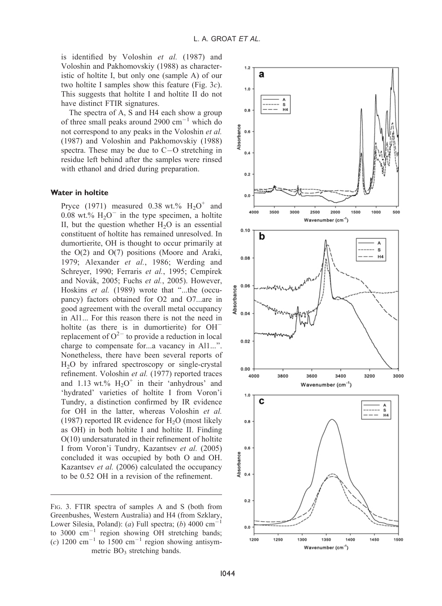is identified by Voloshin et al. (1987) and Voloshinand Pakhomovskiy (1988) as characteristic of holtite I, but only one (sample A) of our two holtite I samples show this feature (Fig. 3c). This suggests that holtite I and holtite II do not have distinct FTIR signatures.

The spectra of A, S and H4 each show a group of three small peaks around 2900  $cm^{-1}$  which do not correspond to any peaks in the Voloshin et al. (1987) and Voloshin and Pakhomovskiy (1988) spectra. These may be due to  $C-O$  stretching in residue left behind after the samples were rinsed with ethanol and dried during preparation.

#### Water in holtite

Pryce (1971) measured 0.38 wt.%  $H_2O^+$  and 0.08 wt.%  $H_2O^-$  in the type specimen, a holtite II, but the question whether  $H<sub>2</sub>O$  is an essential constituent of holtite has remained unresolved. In dumortierite, OH is thought to occur primarily at the O(2) and O(7) positions (Moore and Araki, 1979; Alexander et al., 1986; Werding and Schreyer, 1990; Ferraris et al., 1995; Cempírek and Novák, 2005; Fuchs et al., 2005). However, Hoskins et al. (1989) wrote that "...the (occupancy) factors obtained for O2 and O7...are in good agreement with the overall metal occupancy in Al1... For this reason there is not the need in holtite (as there is in dumortierite) for OH<sup>-</sup> replacement of  $O^{2-}$  to provide a reduction in local charge to compensate for...a vacancy in Al1...''. Nonetheless, there have been several reports of H2O by infrared spectroscopy or single-crystal refinement. Voloshin et al. (1977) reported traces and 1.13 wt.%  $H_2O^+$  in their 'anhydrous' and 'hydrated' varieties of holtite I from Voron'i Tundry, a distinction confirmed by IR evidence for OH in the latter, whereas Voloshin et al. (1987) reported IR evidence for  $H<sub>2</sub>O$  (most likely as OH) in both holtite I and holtite II. Finding O(10) undersaturated in their refinement of holtite I from Voron'i Tundry, Kazantsev et al. (2005) concluded it was occupied by both O and OH. Kazantsev et al. (2006) calculated the occupancy to be 0.52 OH in a revision of the refinement.

FIG. 3. FTIR spectra of samples A and S (both from Greenbushes, Western Australia) and H4 (from Szklary, Lower Silesia, Poland): (a) Full spectra; (b)  $4000 \text{ cm}^{-1}$ to 3000  $cm^{-1}$  region showing OH stretching bands; (c) 1200 cm<sup>-1</sup> to 1500 cm<sup>-1</sup> region showing antisymmetric  $BO_3$  stretching bands.

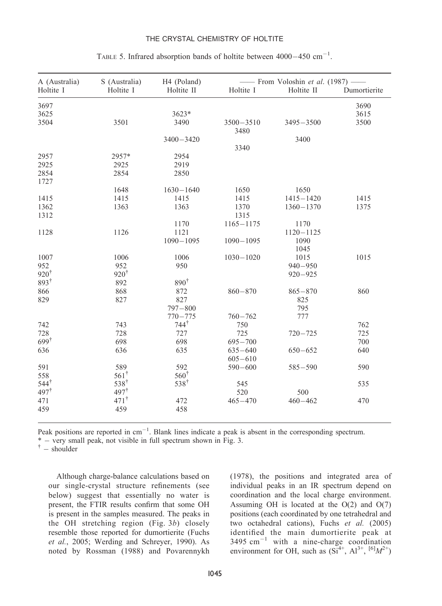### THE CRYSTAL CHEMISTRY OF HOLTITE

| A (Australia)   | S (Australia)    | H <sub>4</sub> (Poland) |                       | - From Voloshin et al. (1987) - |              |
|-----------------|------------------|-------------------------|-----------------------|---------------------------------|--------------|
| Holtite I       | Holtite I        | Holtite II              | Holtite I             | Holtite II                      | Dumortierite |
| 3697            |                  |                         |                       |                                 | 3690         |
| 3625            |                  | 3623*                   |                       |                                 | 3615         |
| 3504            | 3501             | 3490                    | $3500 - 3510$<br>3480 | $3495 - 3500$                   | 3500         |
|                 |                  | $3400 - 3420$           |                       | 3400                            |              |
|                 |                  |                         | 3340                  |                                 |              |
| 2957            | 2957*            | 2954                    |                       |                                 |              |
| 2925            | 2925             | 2919                    |                       |                                 |              |
| 2854            | 2854             | 2850                    |                       |                                 |              |
| 1727            |                  |                         |                       |                                 |              |
|                 | 1648             | $1630 - 1640$           | 1650                  | 1650                            |              |
| 1415            | 1415             | 1415                    | 1415                  | $1415 - 1420$                   | 1415         |
| 1362            | 1363             | 1363                    | 1370                  | $1360 - 1370$                   | 1375         |
| 1312            |                  |                         | 1315                  |                                 |              |
|                 |                  | 1170                    | $1165 - 1175$         | 1170                            |              |
| 1128            | 1126             | 1121                    |                       | $1120 - 1125$                   |              |
|                 |                  | $1090 - 1095$           | $1090 - 1095$         | 1090                            |              |
|                 |                  |                         |                       | 1045                            |              |
| 1007            | 1006             | 1006                    | $1030 - 1020$         | 1015                            | 1015         |
| 952             | 952              | 950                     |                       | $940 - 950$                     |              |
| $920^{\dagger}$ | $920^{\dagger}$  |                         |                       | $920 - 925$                     |              |
| $893^{\dagger}$ | 892              | $890^{\dagger}$         |                       |                                 |              |
|                 |                  |                         |                       |                                 |              |
| 866             | 868              | 872                     | $860 - 870$           | $865 - 870$                     | 860          |
| 829             | 827              | 827                     |                       | 825                             |              |
|                 |                  | $797 - 800$             |                       | 795                             |              |
|                 |                  | $770 - 775$             | $760 - 762$           | 777                             |              |
| 742             | 743              | $744*$                  | 750                   |                                 | 762          |
| 728             | 728              | 727                     | 725                   | $720 - 725$                     | 725          |
| $699^{\dagger}$ | 698              | 698                     | $695 - 700$           |                                 | 700          |
| 636             | 636              | 635                     | $635 - 640$           | $650 - 652$                     | 640          |
|                 |                  |                         | $605 - 610$           |                                 |              |
| 591             | 589              | 592                     | $590 - 600$           | $585 - 590$                     | 590          |
| 558             | $561^{\dagger}$  | $560^{\dagger}$         |                       |                                 |              |
| $544^{\dagger}$ | $538^{\dagger}$  | $538^{\dagger}$         | 545                   |                                 | 535          |
| $497^{\dagger}$ | 497 <sup>†</sup> |                         | 520                   | 500                             |              |
| 471             | $471^{\dagger}$  | 472                     | $465 - 470$           | $460 - 462$                     | 470          |
| 459             | 459              | 458                     |                       |                                 |              |
|                 |                  |                         |                       |                                 |              |

# TABLE 5. Infrared absorption bands of holtite between  $4000-450$  cm<sup>-1</sup>.

Peak positions are reported in  $cm^{-1}$ . Blank lines indicate a peak is absent in the corresponding spectrum.

\*  $-$  very small peak, not visible in full spectrum shown in Fig. 3.  $\uparrow$   $-$  shoulder

Although charge-balance calculations based on our single-crystal structure refinements (see below) suggest that essentially no water is present, the FTIR results confirm that some OH is present in the samples measured. The peaks in the OH stretching region (Fig. 3b) closely resemble those reported for dumortierite (Fuchs et al., 2005; Werding and Schreyer, 1990). As noted by Rossman (1988) and Povarennykh (1978), the positions and integrated area of individual peaks in an IR spectrum depend on coordination and the local charge environment. Assuming OH is located at the  $O(2)$  and  $O(7)$ positions (each coordinated by one tetrahedral and two octahedral cations), Fuchs et al. (2005) identified the main dumortierite peak at  $3495 \text{ cm}^{-1}$  with a nine-charge coordination environment for OH, such as  $(Si^{4+}, A1^{3+}, [6]M^{2+})$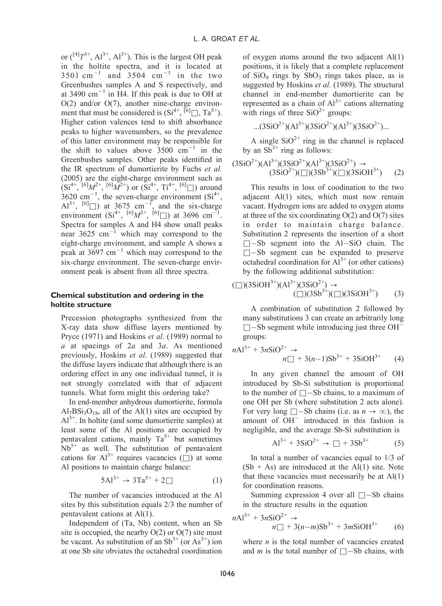or  $({}^{[4]}T^{3+}, Al^{3+}, Al^{3+})$ . This is the largest OH peak in the holtite spectra, and it is located at  $3501$  cm<sup>-1</sup> and  $3504$  cm<sup>-1</sup> in the two Greenbushes samples A and S respectively, and at 3490  $cm^{-1}$  in H4. If this peak is due to OH at  $O(2)$  and/or  $O(7)$ , another nine-charge environment that must be considered is  $(Si^{4+}, \bar{[}6]\square, Ta^{5+})$ . Higher cation valences tend to shift absorbance peaks to higher wavenumbers, so the prevalence of this latter environment may be responsible for the shift to values above  $3500 \text{ cm}^{-1}$  in the Greenbushes samples. Other peaks identified in the IR spectrum of dumortierite by Fuchs et al. (2005) are the eight-charge environment such as  $(Si^{4+}, {}^{[6]}M^{2+}, {}^{[6]}M^{2+})$  or  $(Si^{4+}, Ti^{4+}, {}^{[6]} \Box)$  around  $3620 \text{ cm}^{-1}$ , the seven-charge environment  $(Si^{4+},$  $[A]^{3+}, [6] \square$ ) at 3675 cm<sup>-1</sup>, and the six-charge environment  $(Si^{4+}, {}^{[6]}M^{2+}, {}^{[6]} \Box)$  at 3696 cm<sup>-1</sup>. Spectra for samples A and H4 show small peaks near  $3625 \text{ cm}^{-1}$  which may correspond to the eight-charge environment, and sample A shows a peak at 3697  $cm^{-1}$  which may correspond to the six-charge environment. The seven-charge environment peak is absent from all three spectra.

# Chemical substitution and ordering in the holtite structure

Precession photographs synthesized from the X-ray data show diffuse layers mentioned by Pryce (1971) and Hoskins et al. (1989) normal to a at spacings of 2a and 3a. As mentioned previously, Hoskins et al. (1989) suggested that the diffuse layers indicate that although there is an ordering effect in any one individual tunnel, it is not strongly correlated with that of adjacent tunnels. What form might this ordering take?

In end-member anhydrous dumortierite, formula  $Al_7BSi_3O_{18}$ , all of the Al(1) sites are occupied by  $Al^{3+}$ . In holtite (and some dumortierite samples) at least some of the Al positions are occupied by pentavalent cations, mainly  $Ta^{5+}$  but sometimes  $Nb<sup>5+</sup>$  as well. The substitution of pentavalent cations for  $Al^{3+}$  requires vacancies ( $\Box$ ) at some Al positions to maintain charge balance:

$$
5Al^{3+} \rightarrow 3Ta^{5+} + 2\square
$$
 (1)

The number of vacancies introduced at the Al sites by this substitution equals 2/3 the number of pentavalent cations at Al(1).

Independent of (Ta, Nb) content, when an Sb site is occupied, the nearby  $O(2)$  or  $O(7)$  site must be vacant. As substitution of an  $Sb^{3+}$  (or  $As^{3+}$ ) ion at one Sb site obviates the octahedral coordination of oxygen atoms around the two adjacent Al(1) positions, it is likely that a complete replacement of  $SiO<sub>4</sub>$  rings by  $SbO<sub>3</sub>$  rings takes place, as is suggested by Hoskins et al. (1989). The structural channel in end-member dumortierite can be represented as a chain of  $Al^{3+}$  cations alternating with rings of three  $SiO^{2+}$  groups:

$$
...(3SiO^{2+})(Al^{3+})(3SiO^{2+})(Al^{3+})(3SiO^{2+})...
$$

A single  $SiO^{2+}$  ring in the channel is replaced by an  $Sb^{3+}$  ring as follows:

$$
(3SiO^{2+})(Al^{3+})(3SiO^{2+})(Al^{3+})(3SiO^{2+}) \rightarrow (3SiO^{2+})(\Box)(3SiO^{3+})(\Box)(3SiOH^{3+})
$$
 (2)

This results in loss of coodination to the two adjacent Al(1) sites, which must now remain vacant. Hydrogen ions are added to oxygen atoms at three of the six coordinating  $O(2)$  and  $O(7)$  sites in order to maintain charge balance. Substitution 2 represents the insertion of a short  $\square$ -Sb segment into the Al-SiO chain. The  $\square$ -Sb segment can be expanded to preserve octahedral coordination for  $Al^{3+}$  (or other cations) by the following additional substitution:

$$
(\square)(3\text{SiOH}^{3+})(\text{Al}^{3+})(3\text{SiO}^{2+}) \rightarrow (\square)(3\text{SiO}^{3+})(\square)(3\text{SiOH}^{3+})
$$
 (3)

A combination of substitution 2 followed by many substitutions 3 can create an arbitrarily long  $\square$  -Sb segment while introducing just three OH<sup>-</sup> groups:

$$
n\text{Al}^{3+} + 3n\text{SiO}^{2+} \to
$$
  

$$
n\Box + 3(n-1)\text{Sb}^{3+} + 3\text{SiOH}^{3+} \tag{4}
$$

In any given channel the amount of OH introduced by Sb-Si substitution is proportional to the number of  $\square$  -Sb chains, to a maximum of one OH per Sb (where substitution 2 acts alone). For very long  $\square$ -Sb chains (i.e. as  $n \to \infty$ ), the amount of  $OH^-$  introduced in this fashion is negligible, and the average Sb-Si substitution is

$$
Al^{3+} + 3SiO^{2+} \to \Box + 3Sb^{3+} \tag{5}
$$

In total a number of vacancies equal to 1/3 of  $(Sb + As)$  are introduced at the Al(1) site. Note that these vacancies must necessarily be at  $Al(1)$ for coordination reasons.

Summing expression 4 over all  $\Box$ —Sb chains in the structure results in the equation

$$
nAl^{3+} + 3nSiO^{2+} \to
$$
  
\n
$$
n\Box + 3(n-m)Sb^{3+} + 3mSiOH^{3+}
$$
 (6)

where  $n$  is the total number of vacancies created and *m* is the total number of  $\square$ -Sb chains, with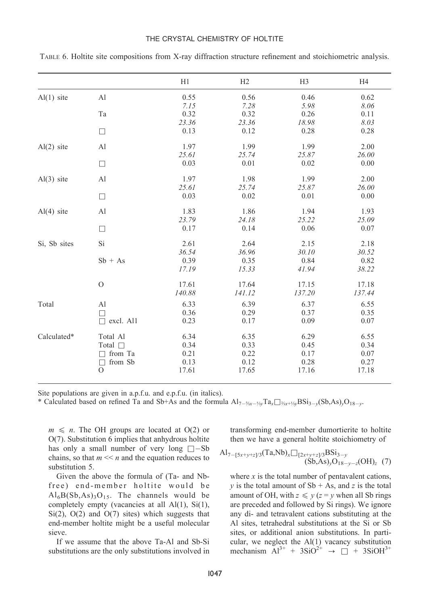#### THE CRYSTAL CHEMISTRY OF HOLTITE

|              |                     | H1     | H <sub>2</sub> | H <sub>3</sub> | H4     |
|--------------|---------------------|--------|----------------|----------------|--------|
| $Al(1)$ site | Al                  | 0.55   | 0.56           | 0.46           | 0.62   |
|              |                     | 7.15   | 7.28           | 5.98           | 8.06   |
|              | Ta                  | 0.32   | 0.32           | 0.26           | 0.11   |
|              |                     | 23.36  | 23.36          | 18.98          | 8.03   |
|              | $\Box$              | 0.13   | 0.12           | 0.28           | 0.28   |
| $Al(2)$ site | Al                  | 1.97   | 1.99           | 1.99           | 2.00   |
|              |                     | 25.61  | 25.74          | 25.87          | 26.00  |
|              | $\Box$              | 0.03   | 0.01           | 0.02           | 0.00   |
| $Al(3)$ site | Al                  | 1.97   | 1.98           | 1.99           | 2.00   |
|              |                     | 25.61  | 25.74          | 25.87          | 26.00  |
|              | $\Box$              | 0.03   | 0.02           | 0.01           | 0.00   |
| $Al(4)$ site | A <sub>1</sub>      | 1.83   | 1.86           | 1.94           | 1.93   |
|              |                     | 23.79  | 24.18          | 25.22          | 25.09  |
|              | $\Box$              | 0.17   | 0.14           | 0.06           | 0.07   |
| Si, Sb sites | Si                  | 2.61   | 2.64           | 2.15           | 2.18   |
|              |                     | 36.54  | 36.96          | 30.10          | 30.52  |
|              | $Sb + As$           | 0.39   | 0.35           | 0.84           | 0.82   |
|              |                     | 17.19  | 15.33          | 41.94          | 38.22  |
|              | $\mathcal{O}$       | 17.61  | 17.64          | 17.15          | 17.18  |
|              |                     | 140.88 | 141.12         | 137.20         | 137.44 |
| Total        | Al                  | 6.33   | 6.39           | 6.37           | 6.55   |
|              | П                   | 0.36   | 0.29           | 0.37           | 0.35   |
|              | excl. Al1<br>$\Box$ | 0.23   | 0.17           | 0.09           | 0.07   |
| Calculated*  | Total Al            | 6.34   | 6.35           | 6.29           | 6.55   |
|              | Total $\Box$        | 0.34   | 0.33           | 0.45           | 0.34   |
|              | from Ta<br>П        | 0.21   | 0.22           | 0.17           | 0.07   |
|              | from Sb<br>$\Box$   | 0.13   | 0.12           | 0.28           | 0.27   |
|              | $\Omega$            | 17.61  | 17.65          | 17.16          | 17.18  |

TABLE 6. Holtite site compositions from X-ray diffraction structure refinement and stoichiometric analysis.

Site populations are given in a.p.f.u. and e.p.f.u. (in italics).

\* Calculated based on refined Ta and Sb+As and the formula  $Al_{7-\frac{5}{2}x-\frac{1}{3}y}Ta_x\Box_{\frac{2}{3}x+\frac{1}{3}y}BS_{13-y}(Sb,As)_yO_{18-y}$ .

 $m \leq n$ . The OH groups are located at O(2) or  $O(7)$ . Substitution 6 implies that anhydrous holtite has only a small number of very long  $\square$ -Sb chains, so that  $m \ll n$  and the equation reduces to substitution 5.

Given the above the formula of (Ta- and Nbfree) end-member holtite would be  $Al<sub>6</sub>B(Sb, As)<sub>3</sub>O<sub>15</sub>$ . The channels would be completely empty (vacancies at all Al(1), Si(1),  $Si(2)$ ,  $O(2)$  and  $O(7)$  sites) which suggests that end-member holtite might be a useful molecular sieve.

If we assume that the above Ta-Al and Sb-Si substitutions are the only substitutions involved in transforming end-member dumortierite to holtite then we have a general holtite stoichiometry of

$$
Al_{7-[5x+y+z]/3}(Ta, Nb)_x \square_{[2x+y+z]/3} BSi_{3-y}
$$
  
(Sb, As)<sub>y</sub>O<sub>18-y-z</sub>(OH)<sub>z</sub> (7)

where  $x$  is the total number of pentavalent cations, y is the total amount of  $Sb + As$ , and z is the total amount of OH, with  $z \leq y$  ( $z = y$  when all Sb rings are preceded and followed by Si rings). We ignore any di- and tetravalent cations substituting at the Al sites, tetrahedral substitutions at the Si or Sb sites, or additional anion substitutions. In particular, we neglect the Al(1) vacancy substitution mechanism  $Al^{3+}$  + 3SiO<sup>2+</sup>  $\rightarrow$   $\Box$  + 3SiOH<sup>3+</sup>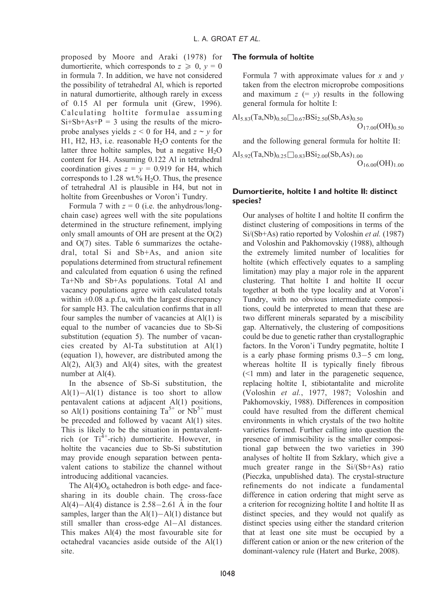proposed by Moore and Araki (1978) for dumortierite, which corresponds to  $z \geq 0$ ,  $y = 0$ in formula 7. In addition, we have not considered the possibility of tetrahedral Al, which is reported in natural dumortierite, although rarely in excess of 0.15 Al per formula unit (Grew, 1996). Calculating holtite formulae assuming  $Si+Sb+As+P = 3$  using the results of the microprobe analyses yields  $z \le 0$  for H4, and  $z \sim y$  for H1, H2, H3, i.e. reasonable  $H_2O$  contents for the latter three holtite samples, but a negative  $H_2O$ content for H4. Assuming 0.122 Al in tetrahedral coordination gives  $z = y = 0.919$  for H4, which corresponds to 1.28 wt.%  $H_2O$ . Thus, the presence of tetrahedral Al is plausible inH4, but not in holtite from Greenbushes or Voron'i Tundry.

Formula 7 with  $z = 0$  (i.e. the anhydrous/longchain case) agrees well with the site populations determined in the structure refinement, implying only small amounts of OH are present at the O(2) and O(7) sites. Table 6 summarizes the octahedral, total Si and Sb+As, and anion site populations determined from structural refinement and calculated from equation 6 using the refined Ta+Nb and Sb+As populations. Total Al and vacancy populations agree with calculated totals within  $\pm 0.08$  a.p.f.u, with the largest discrepancy for sample H3. The calculation confirms that in all four samples the number of vacancies at Al(1) is equal to the number of vacancies due to Sb-Si substitution (equation 5). The number of vacancies created by Al-Ta substitution at  $Al(1)$ (equation1), however, are distributed among the Al(2), Al(3) and Al(4) sites, with the greatest number at Al(4).

In the absence of Sb-Si substitution, the  $Al(1) – Al(1)$  distance is too short to allow pentavalent cations at adjacent Al(1) positions, so Al(1) positions containing  $Ta^{5+}$  or  $Nb^{5+}$  must be preceded and followed by vacant Al(1) sites. This is likely to be the situation in pentavalentrich (or Ti<sup>4+</sup>-rich) dumortierite. However, in holtite the vacancies due to Sb-Si substitution may provide enough separation between pentavalent cations to stabilize the channel without introducing additional vacancies.

The  $Al(4)O_6$  octahedron is both edge- and facesharing in its double chain. The cross-face Al(4)-Al(4) distance is  $2.58-2.61$  Å in the four samples, larger than the  $Al(1)-Al(1)$  distance but still smaller than cross-edge Al-Al distances. This makes Al(4) the most favourable site for octahedral vacancies aside outside of the Al(1) site.

# The formula of holtite

Formula 7 with approximate values for x and  $y$ taken from the electron microprobe compositions and maximum  $z (= y)$  results in the following general formula for holtite I:

$$
\mathrm{Al}_{5.83}(\mathrm{Ta},\mathrm{Nb})_{0.50}\square_{0.67}\mathrm{BSi}_{2.50}(\mathrm{Sb},\mathrm{As})_{0.50}\ \mathrm{O}_{17.00}(\mathrm{OH})_{0.50}
$$

and the following general formula for holtite II:

 $\text{Al}_{5.92}(\text{Ta},\text{Nb})_{0.25}\square_{0.83}\text{BSi}_{2.00}(\text{Sb},\text{As})_{1.00}$  $O<sub>16.00</sub>(OH)<sub>1.00</sub>$ 

# Dumortierite, holtite I and holtite II: distinct species?

Our analyses of holtite I and holtite II confirm the distinct clustering of compositions in terms of the Si/(Sb+As) ratio reported by Voloshin et al. (1987) and Voloshin and Pakhomovskiy (1988), although the extremely limited number of localities for holtite (which effectively equates to a sampling limitation) may play a major role in the apparent clustering. That holtite I and holtite II occur together at both the type locality and at Voron'i Tundry, with no obvious intermediate compositions, could be interpreted to mean that these are two different minerals separated by a miscibility gap. Alternatively, the clustering of compositions could be due to genetic rather than crystallographic factors. In the Voron'i Tundry pegmatite, holtite I is a early phase forming prisms  $0.3-5$  cm long, whereas holtite II is typically finely fibrous (<1 mm) and later in the paragenetic sequence, replacing holtite I, stibiotantalite and microlite (Voloshin et al., 1977, 1987; Voloshin and Pakhomovskiy, 1988). Differences in composition could have resulted from the different chemical environments in which crystals of the two holtite varieties formed. Further calling into question the presence of immiscibility is the smaller compositional gap between the two varieties in 390 analyses of holtite II from Szklary, which give a much greater range in the Si/(Sb+As) ratio (Pieczka, unpublished data). The crystal-structure refinements do not indicate a fundamental difference in cation ordering that might serve as a criterion for recognizing holtite I and holtite II as distinct species, and they would not qualify as distinct species using either the standard criterion that at least one site must be occupied by a different cation or anion or the new criterion of the dominant-valency rule (Hatert and Burke, 2008).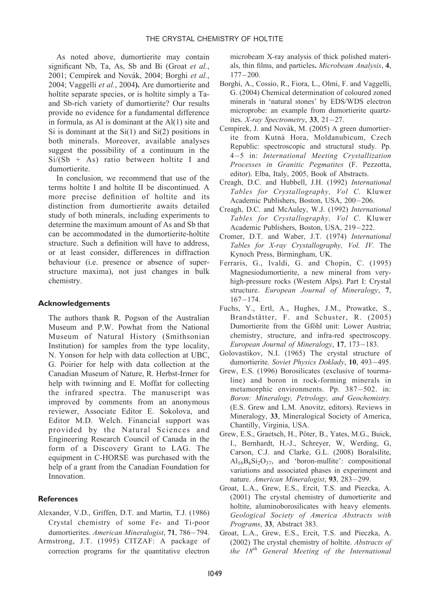As noted above, dumortierite may contain significant Nb, Ta, As, Sb and Bi (Groat et al., 2001; Cempírek and Novák, 2004; Borghi et al., 2004; Vaggelli et al., 2004). Are dumortierite and holtite separate species, or is holtite simply a Taand Sb-rich variety of dumortierite? Our results provide no evidence for a fundamental difference in formula, as Al is dominant at the Al(1) site and Si is dominant at the  $Si(1)$  and  $Si(2)$  positions in both minerals. Moreover, available analyses suggest the possibility of a continuum in the  $Si/(Sb + As)$  ratio between holtite I and dumortierite.

In conclusion, we recommend that use of the terms holtite I and holtite II be discontinued. A more precise definition of holtite and its distinction from dumortierite awaits detailed study of both minerals, including experiments to determine the maximum amount of As and Sb that can be accommodated in the dumortierite-holtite structure. Such a definition will have to address, or at least consider, differences in diffraction behaviour (i.e. presence or absence of superstructure maxima), not just changes in bulk chemistry.

#### Acknowledgements

The authors thank R. Pogson of the Australian Museum and P.W. Powhat from the National Museum of Natural History (Smithsonian Institution) for samples from the type locality, N. Yonson for help with data collection at UBC, G. Poirier for help with data collection at the Canadian Museum of Nature, R. Herbst-Irmer for help with twinning and E. Moffat for collecting the infrared spectra. The manuscript was improved by comments from an anonymous reviewer, Associate Editor E. Sokolova, and Editor M.D. Welch. Financial support was provided by the Natural Sciences and Engineering Research Council of Canada in the form of a Discovery Grant to LAG. The equipment in C-HORSE was purchased with the help of a grant from the Canadian Foundation for Innovation.

## **References**

- Alexander, V.D., Griffen, D.T. and Martin, T.J. (1986) Crystal chemistry of some Fe- and Ti-poor dumortierites. American Mineralogist, 71, 786-794.
- Armstrong, J.T. (1995) CITZAF: A package of correction programs for the quantitative electron

microbeam X-ray analysis of thick polished materials, thin films, and particles. Microbeam Analysis, 4,  $177 - 200$ .

- Borghi, A., Cossio, R., Fiora, L., Olmi, F. and Vaggelli, G. (2004) Chemical determination of coloured zoned minerals in 'natural stones' by EDS/WDS electron microprobe: an example from dumortierite quartzites. X-ray Spectrometry, 33,  $21-27$ .
- Cempírek, J. and Novák, M. (2005) A green dumortierite from Kutná Hora, Moldanubicum, Czech Republic: spectroscopic and structural study. Pp. 4-5 in: International Meeting Crystallization Processes in Granitic Pegmatites (F. Pezzotta, editor). Elba, Italy, 2005, Book of Abstracts.
- Creagh, D.C. and Hubbell, J.H. (1992) International Tables for Crystallography, Vol C. Kluwer Academic Publishers, Boston, USA, 200-206.
- Creagh, D.C. and McAuley, W.J. (1992) International Tables for Crystallography, Vol C. Kluwer Academic Publishers, Boston, USA, 219-222.
- Cromer, D.T. and Waber, J.T. (1974) International Tables for X-ray Crystallography, Vol. IV. The Kynoch Press, Birmingham, UK.
- Ferraris, G., Ivaldi, G. and Chopin, C. (1995) Magnesiodumortierite, a new mineral from veryhigh-pressure rocks (Western Alps). Part I: Crystal structure. European Journal of Mineralogy, 7,  $167 - 174.$
- Fuchs, Y., Ertl, A., Hughes, J.M., Prowatke, S., Brandstätter, F. and Schuster, R. (2005) Dumortierite from the Gföhl unit: Lower Austria; chemistry, structure, and infra-red spectroscopy. European Journal of Mineralogy,  $17, 173-183$ .
- Golovastikov, N.I. (1965) The crystal structure of dumortierite. Soviet Physics Doklady, 10, 493-495.
- Grew, E.S. (1996) Borosilicates (exclusive of tourmaline) and boron in rock-forming minerals in metamorphic environments. Pp. 387-502. in: Boron: Mineralogy, Petrology, and Geochemistry. (E.S. Grew and L.M. Anovitz, editors). Reviews in Mineralogy, 33, Mineralogical Society of America, Chantilly, Virginia, USA.
- Grew, E.S., Graetsch, H., Pöter, B., Yates, M.G., Buick, I., Bernhardt, H.-J., Schreyer, W, Werding, G, Carson, C.J. and Clarke, G.L. (2008) Boralsilite,  $Al_{16}B_6Si_2O_{37}$ , and 'boron-mullite': compositional variations and associated phases in experiment and nature. American Mineralogist, 93, 283-299.
- Groat, L.A., Grew, E.S., Ercit, T.S. and Piezcka, A. (2001) The crystal chemistry of dumortierite and holtite, aluminoborosilicates with heavy elements. Geological Society of America Abstracts with Programs, 33, Abstract 383.
- Groat, L.A., Grew, E.S., Ercit, T.S. and Pieczka, A. (2002) The crystal chemistry of holtite. Abstracts of the  $18^{th}$  General Meeting of the International